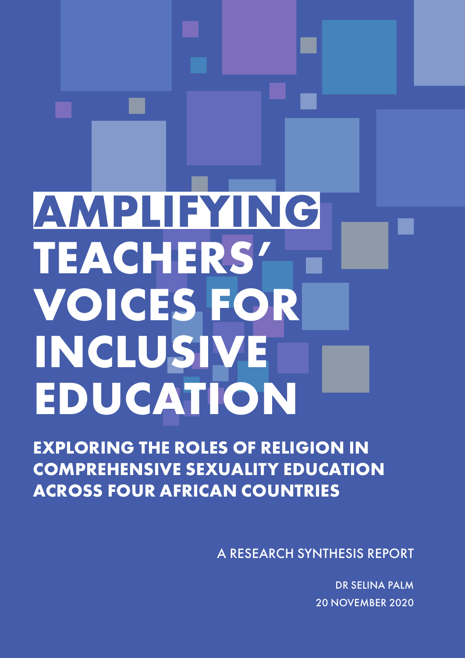## **AMPLIFYING TEACHERS' VOICES FOR INCLUSIVE EDUCATION**

**EXPLORING THE ROLES OF RELIGION IN COMPREHENSIVE SEXUALITY EDUCATION ACROSS FOUR AFRICAN COUNTRIES**

A RESEARCH SYNTHESIS REPORT

DR SELINA PALM 20 NOVEMBER 2020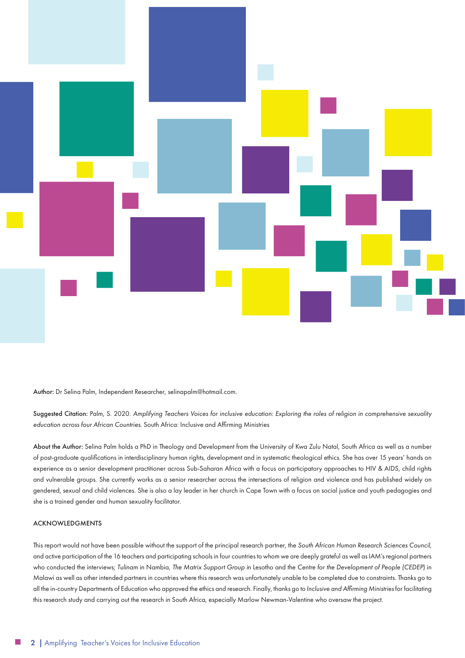

Author: Dr Selina Palm, Independent Researcher, selinapalm@hotmail.com.

Suggested Citation: Palm, S. 2020. *Amplifying Teachers Voices for inclusive education: Exploring the roles of religion in comprehensive sexuality education across four African Countries*. South Africa: Inclusive and Affirming Ministries

About the Author: Selina Palm holds a PhD in Theology and Development from the University of Kwa Zulu Natal, South Africa as well as a number of post-graduate qualifications in interdisciplinary human rights, development and in systematic theological ethics. She has over 15 years' hands on experience as a senior development practitioner across Sub-Saharan Africa with a focus on participatory approaches to HIV & AIDS, child rights and vulnerable groups. She currently works as a senior researcher across the intersections of religion and violence and has published widely on gendered, sexual and child violences. She is also a lay leader in her church in Cape Town with a focus on social justice and youth pedagogies and she is a trained gender and human sexuality facilitator.

#### ACKNOWLEDGMENTS

This report would not have been possible without the support of the principal research partner, the *South African Human Research Sciences Council*, and active participation of the 16 teachers and participating schools in four countries to whom we are deeply grateful as well as IAM's regional partners who conducted the interviews; *Tulinam* in Nambia, *The Matrix Support Group i*n Lesotho and the *Centre for the Development of People (CEDEP*) in Malawi as well as other intended partners in countries where this research was unfortunately unable to be completed due to constraints. Thanks go to all the in-country Departments of Education who approved the ethics and research. Finally, thanks go to *Inclusive and Affirming Ministries* for facilitating this research study and carrying out the research in South Africa, especially Marlow Newman-Valentine who oversaw the project.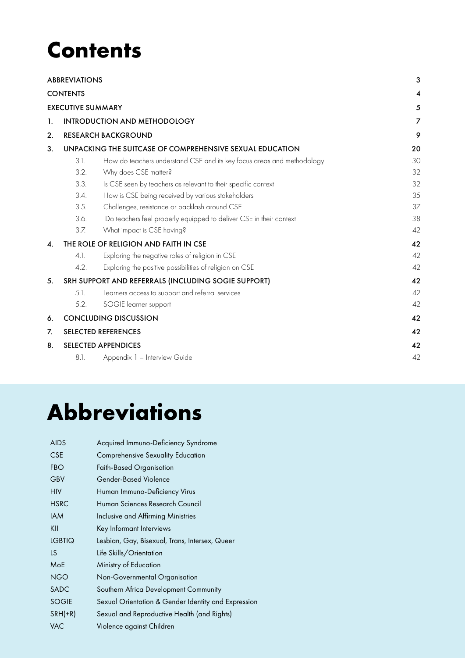### **Contents**

|                          | <b>ABBREVIATIONS</b>                                     |                                                                        | 3  |
|--------------------------|----------------------------------------------------------|------------------------------------------------------------------------|----|
| <b>CONTENTS</b>          |                                                          |                                                                        | 4  |
| <b>EXECUTIVE SUMMARY</b> |                                                          |                                                                        | 5  |
| $\mathbf{1}$ .           | <b>INTRODUCTION AND METHODOLOGY</b>                      |                                                                        |    |
| 2.                       |                                                          | <b>RESEARCH BACKGROUND</b>                                             | 9  |
| 3.                       | UNPACKING THE SUITCASE OF COMPREHENSIVE SEXUAL EDUCATION |                                                                        |    |
|                          | 3.1.                                                     | How do teachers understand CSE and its key focus areas and methodology | 30 |
|                          | 3.2.                                                     | Why does CSE matter?                                                   | 32 |
|                          | 3.3.                                                     | Is CSE seen by teachers as relevant to their specific context          | 32 |
|                          | 3.4.                                                     | How is CSE being received by various stakeholders                      | 35 |
|                          | 3.5.                                                     | Challenges, resistance or backlash around CSE                          | 37 |
|                          | 3.6.                                                     | Do teachers feel properly equipped to deliver CSE in their context     | 38 |
|                          | 3.7.                                                     | What impact is CSE having?                                             | 42 |
| $\boldsymbol{A}$ .       | THE ROLE OF RELIGION AND FAITH IN CSE                    |                                                                        | 42 |
|                          | 4.1.                                                     | Exploring the negative roles of religion in CSE                        | 42 |
|                          | 4.2.                                                     | Exploring the positive possibilities of religion on CSE                | 42 |
| 5.                       | SRH SUPPORT AND REFERRALS (INCLUDING SOGIE SUPPORT)      |                                                                        | 42 |
|                          | 5.1.                                                     | Learners access to support and referral services                       | 42 |
|                          | 5.2.                                                     | SOGIE learner support                                                  | 42 |
| 6.                       | <b>CONCLUDING DISCUSSION</b>                             |                                                                        | 42 |
| 7.                       | 42<br><b>SELECTED REFERENCES</b>                         |                                                                        |    |
| 8.                       | <b>SELECTED APPENDICES</b>                               |                                                                        | 42 |
|                          | 8.1.                                                     | Appendix 1 - Interview Guide                                           | 42 |

## **Abbreviations**

| <b>AIDS</b>   | Acquired Immuno-Deficiency Syndrome                 |
|---------------|-----------------------------------------------------|
| <b>CSE</b>    | <b>Comprehensive Sexuality Education</b>            |
| <b>FBO</b>    | Faith-Based Organisation                            |
| GBV           | <b>Gender-Based Violence</b>                        |
| <b>HIV</b>    | Human Immuno-Deficiency Virus                       |
| <b>HSRC</b>   | Human Sciences Research Council                     |
| <b>IAM</b>    | Inclusive and Affirming Ministries                  |
| KII           | Key Informant Interviews                            |
| <b>LGBTIQ</b> | Lesbian, Gay, Bisexual, Trans, Intersex, Queer      |
| LS.           | Life Skills/Orientation                             |
| MoE           | Ministry of Education                               |
| <b>NGO</b>    | Non-Governmental Organisation                       |
| SADC          | Southern Africa Development Community               |
| <b>SOGIE</b>  | Sexual Orientation & Gender Identity and Expression |
| $SRH(+R)$     | Sexual and Reproductive Health (and Rights)         |
| VAC           | Violence against Children                           |
|               |                                                     |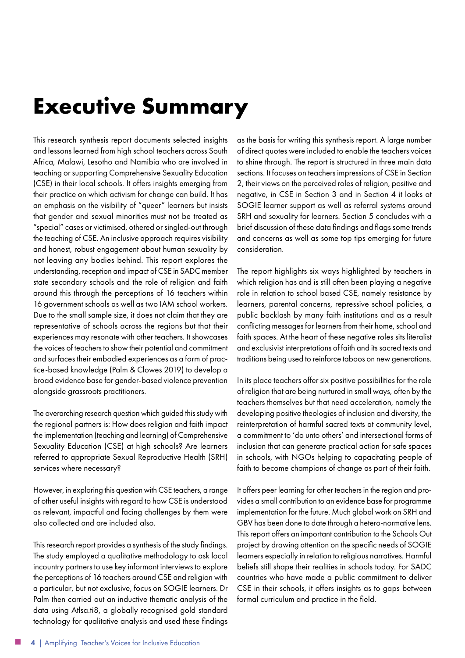### <span id="page-3-0"></span>**Executive Summary**

This research synthesis report documents selected insights and lessons learned from high school teachers across South Africa, Malawi, Lesotho and Namibia who are involved in teaching or supporting Comprehensive Sexuality Education (CSE) in their local schools. It offers insights emerging from their practice on which activism for change can build. It has an emphasis on the visibility of "queer" learners but insists that gender and sexual minorities must not be treated as "special" cases or victimised, othered or singled-out through the teaching of CSE. An inclusive approach requires visibility and honest, robust engagement about human sexuality by not leaving any bodies behind. This report explores the understanding, reception and impact of CSE in SADC member state secondary schools and the role of religion and faith around this through the perceptions of 16 teachers within 16 government schools as well as two IAM school workers. Due to the small sample size, it does not claim that they are representative of schools across the regions but that their experiences may resonate with other teachers. It showcases the voices of teachers to show their potential and commitment and surfaces their embodied experiences as a form of practice-based knowledge (Palm & Clowes 2019) to develop a broad evidence base for gender-based violence prevention alongside grassroots practitioners.

The overarching research question which guided this study with the regional partners is: How does religion and faith impact the implementation (teaching and learning) of Comprehensive Sexuality Education (CSE) at high schools? Are learners referred to appropriate Sexual Reproductive Health (SRH) services where necessary?

However, in exploring this question with CSE teachers, a range of other useful insights with regard to how CSE is understood as relevant, impactful and facing challenges by them were also collected and are included also.

This research report provides a synthesis of the study findings. The study employed a qualitative methodology to ask local incountry partners to use key informant interviews to explore the perceptions of 16 teachers around CSE and religion with a particular, but not exclusive, focus on SOGIE learners. Dr Palm then carried out an inductive thematic analysis of the data using Atlsa.ti8, a globally recognised gold standard technology for qualitative analysis and used these findings as the basis for writing this synthesis report. A large number of direct quotes were included to enable the teachers voices to shine through. The report is structured in three main data sections. It focuses on teachers impressions of CSE in Section 2, their views on the perceived roles of religion, positive and negative, in CSE in Section 3 and in Section 4 it looks at SOGIE learner support as well as referral systems around SRH and sexuality for learners. Section 5 concludes with a brief discussion of these data findings and flags some trends and concerns as well as some top tips emerging for future consideration.

The report highlights six ways highlighted by teachers in which religion has and is still often been playing a negative role in relation to school based CSE, namely resistance by learners, parental concerns, repressive school policies, a public backlash by many faith institutions and as a result conflicting messages for learners from their home, school and faith spaces. At the heart of these negative roles sits literalist and exclusivist interpretations of faith and its sacred texts and traditions being used to reinforce taboos on new generations.

In its place teachers offer six positive possibilities for the role of religion that are being nurtured in small ways, often by the teachers themselves but that need acceleration, namely the developing positive theologies of inclusion and diversity, the reinterpretation of harmful sacred texts at community level, a commitment to 'do unto others' and intersectional forms of inclusion that can generate practical action for safe spaces in schools, with NGOs helping to capacitating people of faith to become champions of change as part of their faith.

It offers peer learning for other teachers in the region and provides a small contribution to an evidence base for programme implementation for the future. Much global work on SRH and GBV has been done to date through a hetero-normative lens. This report offers an important contribution to the Schools Out project by drawing attention on the specific needs of SOGIE learners especially in relation to religious narratives. Harmful beliefs still shape their realities in schools today. For SADC countries who have made a public commitment to deliver CSE in their schools, it offers insights as to gaps between formal curriculum and practice in the field.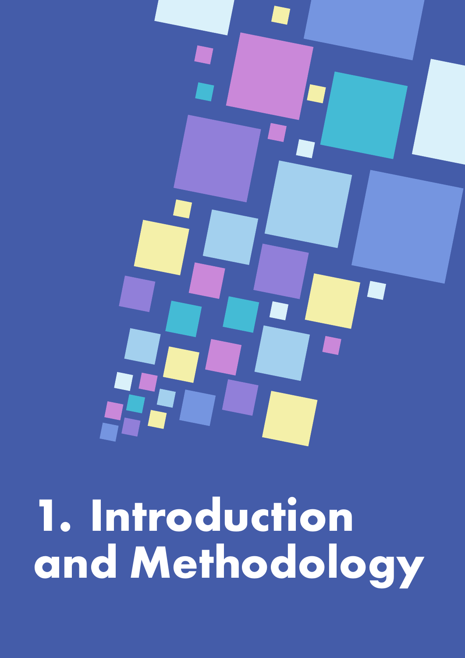<span id="page-4-0"></span>

1. Introduction and Methodology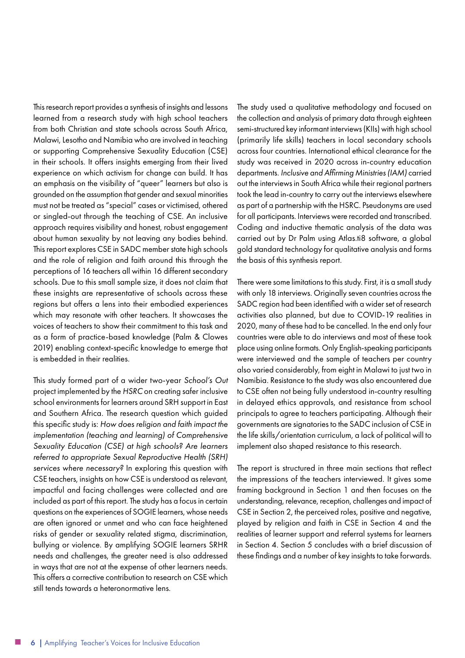This research report provides a synthesis of insights and lessons learned from a research study with high school teachers from both Christian and state schools across South Africa, Malawi, Lesotho and Namibia who are involved in teaching or supporting Comprehensive Sexuality Education (CSE) in their schools. It offers insights emerging from their lived experience on which activism for change can build. It has an emphasis on the visibility of "queer" learners but also is grounded on the assumption that gender and sexual minorities must not be treated as "special" cases or victimised, othered or singled-out through the teaching of CSE. An inclusive approach requires visibility and honest, robust engagement about human sexuality by not leaving any bodies behind. This report explores CSE in SADC member state high schools and the role of religion and faith around this through the perceptions of 16 teachers all within 16 different secondary schools. Due to this small sample size, it does not claim that these insights are representative of schools across these regions but offers a lens into their embodied experiences which may resonate with other teachers. It showcases the voices of teachers to show their commitment to this task and as a form of practice-based knowledge (Palm & Clowes 2019) enabling context-specific knowledge to emerge that is embedded in their realities.

This study formed part of a wider two-year *School's Out* project implemented by the *HSRC* on creating safer inclusive school environments for learners around SRH support in East and Southern Africa. The research question which guided this specific study is: *How does religion and faith impact the implementation (teaching and learning) of Comprehensive Sexuality Education (CSE) at high schools? Are learners referred to appropriate Sexual Reproductive Health (SRH) services where necessary?* In exploring this question with CSE teachers, insights on how CSE is understood as relevant, impactful and facing challenges were collected and are included as part of this report. The study has a focus in certain questions on the experiences of SOGIE learners, whose needs are often ignored or unmet and who can face heightened risks of gender or sexuality related stigma, discrimination, bullying or violence. By amplifying SOGIE learners SRHR needs and challenges, the greater need is also addressed in ways that are not at the expense of other learners needs. This offers a corrective contribution to research on CSE which still tends towards a heteronormative lens.

The study used a qualitative methodology and focused on the collection and analysis of primary data through eighteen semi-structured key informant interviews (KIIs) with high school (primarily life skills) teachers in local secondary schools across four countries. International ethical clearance for the study was received in 2020 across in-country education departments. *Inclusive and Affirming Ministries (IAM)* carried out the interviews in South Africa while their regional partners took the lead in-country to carry out the interviews elsewhere as part of a partnership with the HSRC. Pseudonyms are used for all participants. Interviews were recorded and transcribed. Coding and inductive thematic analysis of the data was carried out by Dr Palm using Atlas.ti8 software, a global gold standard technology for qualitative analysis and forms the basis of this synthesis report.

There were some limitations to this study. First, it is a small study with only 18 interviews. Originally seven countries across the SADC region had been identified with a wider set of research activities also planned, but due to COVID-19 realities in 2020, many of these had to be cancelled. In the end only four countries were able to do interviews and most of these took place using online formats. Only English-speaking participants were interviewed and the sample of teachers per country also varied considerably, from eight in Malawi to just two in Namibia. Resistance to the study was also encountered due to CSE often not being fully understood in-country resulting in delayed ethics approvals, and resistance from school principals to agree to teachers participating. Although their governments are signatories to the SADC inclusion of CSE in the life skills/orientation curriculum, a lack of political will to implement also shaped resistance to this research.

The report is structured in three main sections that reflect the impressions of the teachers interviewed. It gives some framing background in Section 1 and then focuses on the understanding, relevance, reception, challenges and impact of CSE in Section 2, the perceived roles, positive and negative, played by religion and faith in CSE in Section 4 and the realities of learner support and referral systems for learners in Section 4. Section 5 concludes with a brief discussion of these findings and a number of key insights to take forwards.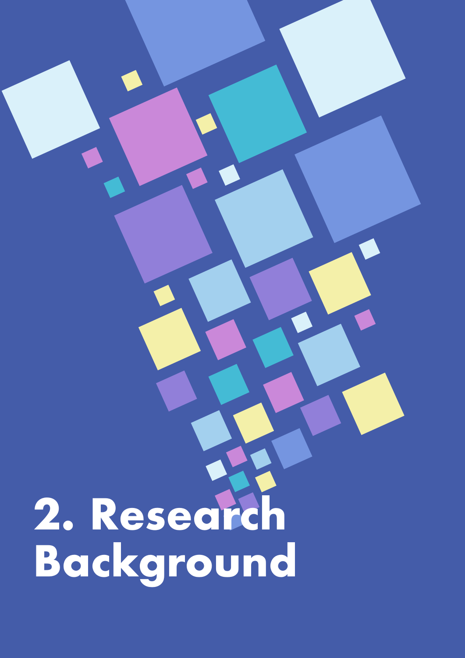# <span id="page-6-0"></span>2. Research<br>Background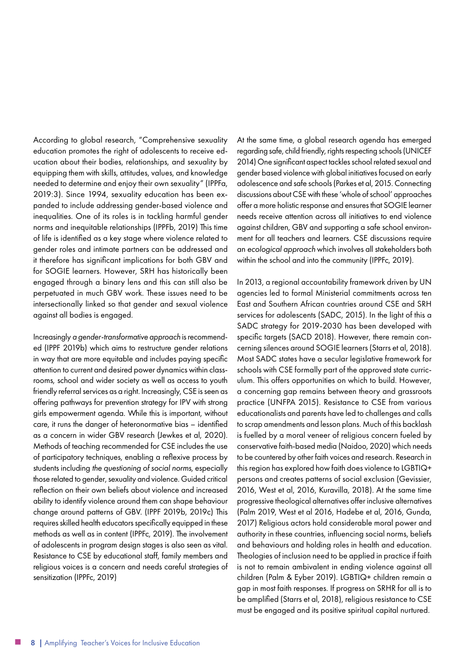According to global research, "Comprehensive sexuality education promotes the right of adolescents to receive education about their bodies, relationships, and sexuality by equipping them with skills, attitudes, values, and knowledge needed to determine and enjoy their own sexuality" (IPPFa, 2019:3). Since 1994, sexuality education has been expanded to include addressing gender-based violence and inequalities. One of its roles is in tackling harmful gender norms and inequitable relationships (IPPFb, 2019) This time of life is identified as a key stage where violence related to gender roles and intimate partners can be addressed and it therefore has significant implications for both GBV and for SOGIE learners. However, SRH has historically been engaged through a binary lens and this can still also be perpetuated in much GBV work. These issues need to be intersectionally linked so that gender and sexual violence against all bodies is engaged.

Increasingly *a gender-transformative approach* is recommended (IPPF 2019b) which aims to restructure gender relations in way that are more equitable and includes paying specific attention to current and desired power dynamics within classrooms, school and wider society as well as access to youth friendly referral services as a right. Increasingly, CSE is seen as offering pathways for prevention strategy for IPV with strong girls empowerment agenda. While this is important, without care, it runs the danger of heteronormative bias – identified as a concern in wider GBV research (Jewkes et al, 2020). Methods of teaching recommended for CSE includes the use of participatory techniques, enabling a reflexive process by students including *the questioning of social norms*, especially those related to gender, sexuality and violence. Guided critical reflection on their own beliefs about violence and increased ability to identify violence around them can shape behaviour change around patterns of GBV. (IPPF 2019b, 2019c) This requires skilled health educators specifically equipped in these methods as well as in content (IPPFc, 2019). The involvement of adolescents in program design stages is also seen as vital. Resistance to CSE by educational staff, family members and religious voices is a concern and needs careful strategies of sensitization (IPPFc, 2019)

At the same time, a global research agenda has emerged regarding safe, child friendly, rights respecting schools (UNICEF 2014) One significant aspect tackles school related sexual and gender based violence with global initiatives focused on early adolescence and safe schools (Parkes et al, 2015. Connecting discussions about CSE with these 'whole of school' approaches offer a more holistic response and ensures that SOGIE learner needs receive attention across all initiatives to end violence against children, GBV and supporting a safe school environment for all teachers and learners. CSE discussions require an *ecological approach* which involves all stakeholders both within the school and into the community (IPPFc, 2019).

In 2013, a regional accountability framework driven by UN agencies led to formal Ministerial commitments across ten East and Southern African countries around CSE and SRH services for adolescents (SADC, 2015). In the light of this a SADC strategy for 2019-2030 has been developed with specific targets (SACD 2018). However, there remain concerning silences around SOGIE learners (Starrs et al, 2018). Most SADC states have a secular legislative framework for schools with CSE formally part of the approved state curriculum. This offers opportunities on which to build. However, a concerning gap remains between theory and grassroots practice (UNFPA 2015). Resistance to CSE from various educationalists and parents have led to challenges and calls to scrap amendments and lesson plans. Much of this backlash is fuelled by a moral veneer of religious concern fueled by conservative faith-based media (Naidoo, 2020) which needs to be countered by other faith voices and research. Research in this region has explored how faith does violence to LGBTIQ+ persons and creates patterns of social exclusion (Gevissier, 2016, West et al, 2016, Kuravilla, 2018). At the same time progressive theological alternatives offer inclusive alternatives (Palm 2019, West et al 2016, Hadebe et al, 2016, Gunda, 2017) Religious actors hold considerable moral power and authority in these countries, influencing social norms, beliefs and behaviours and holding roles in health and education. Theologies of inclusion need to be applied in practice if faith is not to remain ambivalent in ending violence against all children (Palm & Eyber 2019). LGBTIQ+ children remain a gap in most faith responses. If progress on SRHR for all is to be amplified (Starrs et al, 2018), religious resistance to CSE must be engaged and its positive spiritual capital nurtured.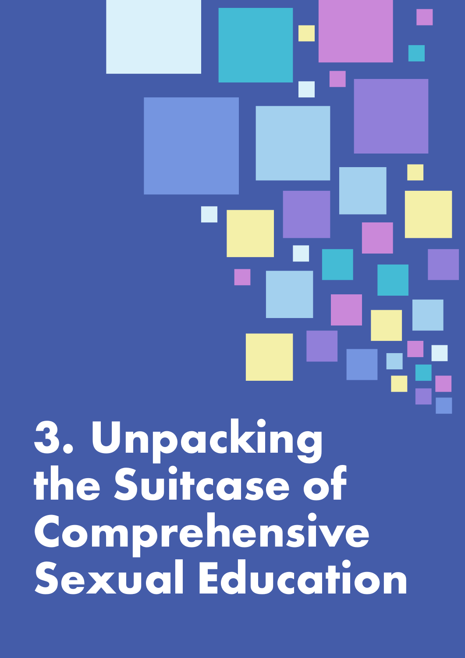<span id="page-8-0"></span>3. Unpacking<br>the Suitcase of Comprehensive Sexual Education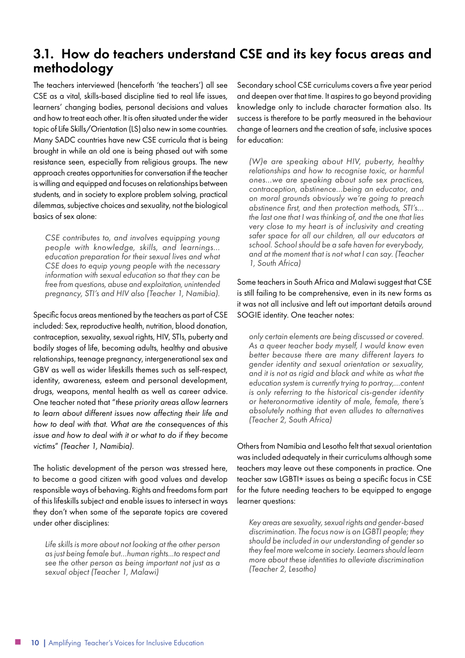#### 3.1. How do teachers understand CSE and its key focus areas and methodology

The teachers interviewed (henceforth 'the teachers') all see CSE as a vital, skills-based discipline tied to real life issues, learners' changing bodies, personal decisions and values and how to treat each other. It is often situated under the wider topic of Life Skills/Orientation (LS) also new in some countries. Many SADC countries have new CSE curricula that is being brought in while an old one is being phased out with some resistance seen, especially from religious groups. The new approach creates opportunities for conversation if the teacher is willing and equipped and focuses on relationships between students, and in society to explore problem solving, practical dilemmas, subjective choices and sexuality, not the biological basics of sex alone:

*CSE contributes to, and involves equipping young people with knowledge, skills, and learnings… education preparation for their sexual lives and what CSE does to equip young people with the necessary information with sexual education so that they can be free from questions, abuse and exploitation, unintended pregnancy, STI's and HIV also (Teacher 1, Namibia).*

Specific focus areas mentioned by the teachers as part of CSE included: Sex, reproductive health, nutrition, blood donation, contraception, sexuality, sexual rights, HIV, STIs, puberty and bodily stages of life, becoming adults, healthy and abusive relationships, teenage pregnancy, intergenerational sex and GBV as well as wider lifeskills themes such as self-respect, identity, awareness, esteem and personal development, drugs, weapons, mental health as well as career advice. One teacher noted that "*these priority areas allow learners to learn about different issues now affecting their life and how to deal with that. What are the consequences of this issue and how to deal with it or what to do if they become victims*" *(Teacher 1, Namibia).*

The holistic development of the person was stressed here, to become a good citizen with good values and develop responsible ways of behaving. Rights and freedoms form part of this lifeskills subject and enable issues to intersect in ways they don't when some of the separate topics are covered under other disciplines:

*Life skills is more about not looking at the other person as just being female but…human rights...to respect and see the other person as being important not just as a sexual object (Teacher 1, Malawi)*

Secondary school CSE curriculums covers a five year period and deepen over that time. It aspires to go beyond providing knowledge only to include character formation also. Its success is therefore to be partly measured in the behaviour change of learners and the creation of safe, inclusive spaces for education:

*(W)e are speaking about HIV, puberty, healthy relationships and how to recognise toxic, or harmful ones…we are speaking about safe sex practices, contraception, abstinence…being an educator, and on moral grounds obviously we're going to preach abstinence first, and then protection methods, STI's… the last one that I was thinking of, and the one that lies very close to my heart is of inclusivity and creating safer space for all our children, all our educators at school. School should be a safe haven for everybody, and at the moment that is not what I can say. (Teacher 1, South Africa)*

Some teachers in South Africa and Malawi suggest that CSE is still failing to be comprehensive, even in its new forms as it was not all inclusive and left out important details around SOGIE identity. One teacher notes:

*only certain elements are being discussed or covered. As a queer teacher body myself, I would know even better because there are many different layers to gender identity and sexual orientation or sexuality, and it is not as rigid and black and white as what the education system is currently trying to portray,…content is only referring to the historical cis-gender identity or heteronormative identity of male, female, there's absolutely nothing that even alludes to alternatives (Teacher 2, South Africa)*

Others from Namibia and Lesotho felt that sexual orientation was included adequately in their curriculums although some teachers may leave out these components in practice. One teacher saw LGBTI+ issues as being a specific focus in CSE for the future needing teachers to be equipped to engage learner questions:

*Key areas are sexuality, sexual rights and gender-based discrimination. The focus now is on LGBTI people; they should be included in our understanding of gender so they feel more welcome in society. Learners should learn more about these identities to alleviate discrimination (Teacher 2, Lesotho)*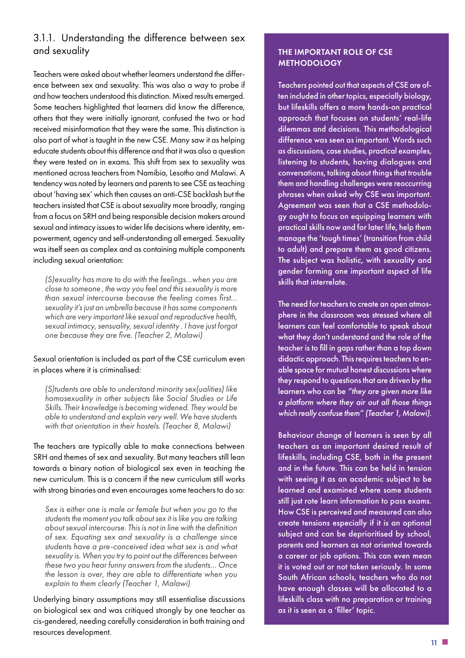#### 3.1.1. Understanding the difference between sex and sexuality

Teachers were asked about whether learners understand the difference between sex and sexuality. This was also a way to probe if and how teachers understood this distinction. Mixed results emerged. Some teachers highlighted that learners did know the difference, others that they were initially ignorant, confused the two or had received misinformation that they were the same. This distinction is also part of what is taught in the new CSE. Many saw it as helping educate students about this difference and that it was also a question they were tested on in exams. This shift from sex to sexuality was mentioned across teachers from Namibia, Lesotho and Malawi. A tendency was noted by learners and parents to see CSE as teaching about 'having sex' which then causes an anti-CSE backlash but the teachers insisted that CSE is about sexuality more broadly, ranging from a focus on SRH and being responsible decision makers around sexual and intimacy issues to wider life decisions where identity, empowerment, agency and self-understanding all emerged. Sexuality was itself seen as complex and as containing multiple components including sexual orientation:

*(S)exuality has more to do with the feelings…when you are close to someone , the way you feel and this sexuality is more than sexual intercourse because the feeling comes first… sexuality it's just an umbrella because it has some components which are very important like sexual and reproductive health, sexual intimacy, sensuality, sexual identity . I have just forgot one because they are five. (Teacher 2, Malawi)*

#### Sexual orientation is included as part of the CSE curriculum even in places where it is criminalised:

*(S)tudents are able to understand minority sex(ualities) like homosexuality in other subjects like Social Studies or Life Skills. Their knowledge is becoming widened. They would be able to understand and explain very well. We have students with that orientation in their hostels. (Teacher 8, Malawi)*

The teachers are typically able to make connections between SRH and themes of sex and sexuality. But many teachers still lean towards a binary notion of biological sex even in teaching the new curriculum. This is a concern if the new curriculum still works with strong binaries and even encourages some teachers to do so:

*Sex is either one is male or female but when you go to the students the moment you talk about sex it is like you are talking about sexual intercourse. This is not in line with the definition of sex. Equating sex and sexuality is a challenge since students have a pre-conceived idea what sex is and what sexuality is. When you try to point out the differences between these two you hear funny answers from the students… Once the lesson is over, they are able to differentiate when you explain to them clearly (Teacher 1, Malawi)*

Underlying binary assumptions may still essentialise discussions on biological sex and was critiqued strongly by one teacher as cis-gendered, needing carefully consideration in both training and resources development.

#### THE IMPORTANT ROLE OF CSE **METHODOLOGY**

Teachers pointed out that aspects of CSE are often included in other topics, especially biology, but lifeskills offers a more hands-on practical approach that focuses on students' real-life dilemmas and decisions. This methodological difference was seen as important. Words such as discussions, case studies, practical examples, listening to students, having dialogues and conversations, talking about things that trouble them and handling challenges were reoccurring phrases when asked why CSE was important. Agreement was seen that a CSE methodology ought to focus on equipping learners with practical skills now and for later life, help them manage the 'tough times' (transition from child to adult) and prepare them as good citizens. The subject was holistic, with sexuality and gender forming one important aspect of life skills that interrelate.

The need for teachers to create an open atmosphere in the classroom was stressed where all learners can feel comfortable to speak about what they don't understand and the role of the teacher is to fill in gaps rather than a top down didactic approach. This requires teachers to enable space for mutual honest discussions where they respond to questions that are driven by the learners who can be *"they are given more like a platform where they air out all those things which really confuse them" (Teacher 1, Malawi).*

Behaviour change of learners is seen by all teachers as an important desired result of lifeskills, including CSE, both in the present and in the future. This can be held in tension with seeing it as an academic subject to be learned and examined where some students still just rote learn information to pass exams. How CSE is perceived and measured can also create tensions especially if it is an optional subject and can be deprioritised by school, parents and learners as not oriented towards a career or job options. This can even mean it is voted out or not taken seriously. In some South African schools, teachers who do not have enough classes will be allocated to a lifeskills class with no preparation or training as it is seen as a 'filler' topic.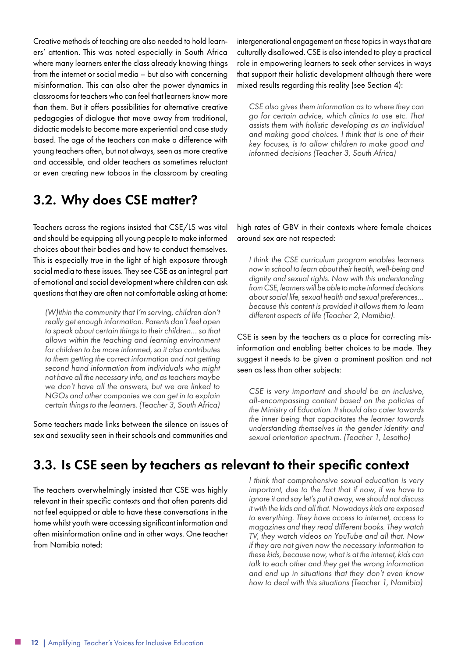Creative methods of teaching are also needed to hold learners' attention. This was noted especially in South Africa where many learners enter the class already knowing things from the internet or social media – but also with concerning misinformation. This can also alter the power dynamics in classrooms for teachers who can feel that learners know more than them. But it offers possibilities for alternative creative pedagogies of dialogue that move away from traditional, didactic models to become more experiential and case study based. The age of the teachers can make a difference with young teachers often, but not always, seen as more creative and accessible, and older teachers as sometimes reluctant or even creating new taboos in the classroom by creating

intergenerational engagement on these topics in ways that are culturally disallowed. CSE is also intended to play a practical role in empowering learners to seek other services in ways that support their holistic development although there were mixed results regarding this reality (see Section 4):

*CSE also gives them information as to where they can go for certain advice, which clinics to use etc. That assists them with holistic developing as an individual and making good choices. I think that is one of their key focuses, is to allow children to make good and informed decisions (Teacher 3, South Africa)*

#### 3.2. Why does CSE matter?

Teachers across the regions insisted that CSE/LS was vital and should be equipping all young people to make informed choices about their bodies and how to conduct themselves. This is especially true in the light of high exposure through social media to these issues. They see CSE as an integral part of emotional and social development where children can ask questions that they are often not comfortable asking at home:

*(W)ithin the community that I'm serving, children don't really get enough information. Parents don't feel open to speak about certain things to their children… so that allows within the teaching and learning environment for children to be more informed, so it also contributes to them getting the correct information and not getting second hand information from individuals who might not have all the necessary info, and as teachers maybe we don't have all the answers, but we are linked to NGOs and other companies we can get in to explain certain things to the learners. (Teacher 3, South Africa)*

Some teachers made links between the silence on issues of sex and sexuality seen in their schools and communities and

#### high rates of GBV in their contexts where female choices around sex are not respected:

*I think the CSE curriculum program enables learners now in school to learn about their health, well-being and dignity and sexual rights. Now with this understanding from CSE, learners will be able to make informed decisions about social life, sexual health and sexual preferences… because this content is provided it allows them to learn different aspects of life (Teacher 2, Namibia).*

CSE is seen by the teachers as a place for correcting misinformation and enabling better choices to be made. They suggest it needs to be given a prominent position and not seen as less than other subjects:

*CSE is very important and should be an inclusive, all-encompassing content based on the policies of the Ministry of Education. It should also cater towards the inner being that capacitates the learner towards understanding themselves in the gender identity and sexual orientation spectrum. (Teacher 1, Lesotho)*

#### 3.3. Is CSE seen by teachers as relevant to their specific context

The teachers overwhelmingly insisted that CSE was highly relevant in their specific contexts and that often parents did not feel equipped or able to have these conversations in the home whilst youth were accessing significant information and often misinformation online and in other ways. One teacher from Namibia noted:

*I think that comprehensive sexual education is very important, due to the fact that if now, if we have to ignore it and say let's put it away, we should not discuss it with the kids and all that. Nowadays kids are exposed to everything. They have access to internet, access to magazines and they read different books. They watch TV, they watch videos on YouTube and all that. Now if they are not given now the necessary information to these kids, because now, what is at the internet, kids can talk to each other and they get the wrong information and end up in situations that they don't even know how to deal with this situations (Teacher 1, Namibia)*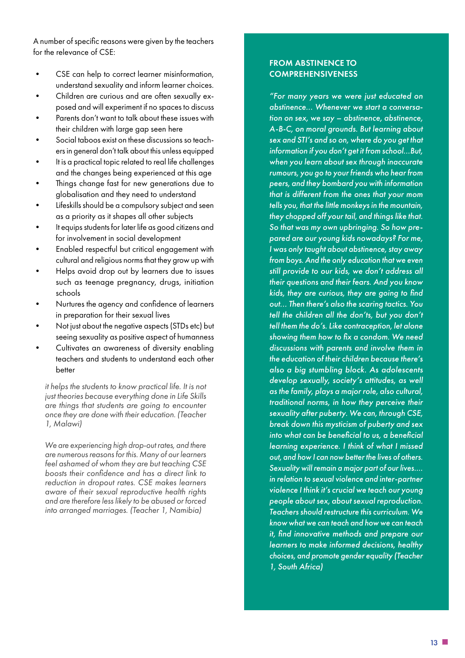A number of specific reasons were given by the teachers for the relevance of CSE:

- CSE can help to correct learner misinformation, understand sexuality and inform learner choices.
- Children are curious and are often sexually exposed and will experiment if no spaces to discuss
- Parents don't want to talk about these issues with their children with large gap seen here
- Social taboos exist on these discussions so teachers in general don't talk about this unless equipped
- It is a practical topic related to real life challenges and the changes being experienced at this age
- Things change fast for new generations due to globalisation and they need to understand
- Lifeskills should be a compulsory subject and seen as a priority as it shapes all other subjects
- It equips students for later life as good citizens and for involvement in social development
- Enabled respectful but critical engagement with cultural and religious norms that they grow up with
- Helps avoid drop out by learners due to issues such as teenage pregnancy, drugs, initiation schools
- Nurtures the agency and confidence of learners in preparation for their sexual lives
- Not just about the negative aspects (STDs etc) but seeing sexuality as positive aspect of humanness
- Cultivates an awareness of diversity enabling teachers and students to understand each other better

*it helps the students to know practical life. It is not just theories because everything done in Life Skills are things that students are going to encounter once they are done with their education. (Teacher 1, Malawi)*

*We are experiencing high drop-out rates, and there are numerous reasons for this. Many of our learners feel ashamed of whom they are but teaching CSE boosts their confidence and has a direct link to reduction in dropout rates. CSE makes learners aware of their sexual reproductive health rights and are therefore less likely to be abused or forced into arranged marriages. (Teacher 1, Namibia)*

#### FROM ABSTINENCE TO **COMPREHENSIVENESS**

*"For many years we were just educated on abstinence... Whenever we start a conversation on sex, we say – abstinence, abstinence, A-B-C, on moral grounds. But learning about sex and STI's and so on, where do you get that information if you don't get it from school…But, when you learn about sex through inaccurate rumours, you go to your friends who hear from peers, and they bombard you with information that is different from the ones that your mom tells you, that the little monkeys in the mountain, they chopped off your tail, and things like that. So that was my own upbringing. So how prepared are our young kids nowadays? For me, I was only taught about abstinence, stay away from boys. And the only education that we even still provide to our kids, we don't address all their questions and their fears. And you know kids, they are curious, they are going to find out... Then there's also the scaring tactics. You tell the children all the don'ts, but you don't tell them the do's. Like contraception, let alone showing them how to fix a condom. We need discussions with parents and involve them in the education of their children because there's also a big stumbling block. As adolescents develop sexually, society's attitudes, as well as the family, plays a major role, also cultural, traditional norms, in how they perceive their sexuality after puberty. We can, through CSE, break down this mysticism of puberty and sex into what can be beneficial to us, a beneficial learning experience. I think of what I missed out, and how I can now better the lives of others. Sexuality will remain a major part of our lives…. in relation to sexual violence and inter-partner violence I think it's crucial we teach our young people about sex, about sexual reproduction. Teachers should restructure this curriculum. We know what we can teach and how we can teach it, find innovative methods and prepare our learners to make informed decisions, healthy choices, and promote gender equality (Teacher 1, South Africa)*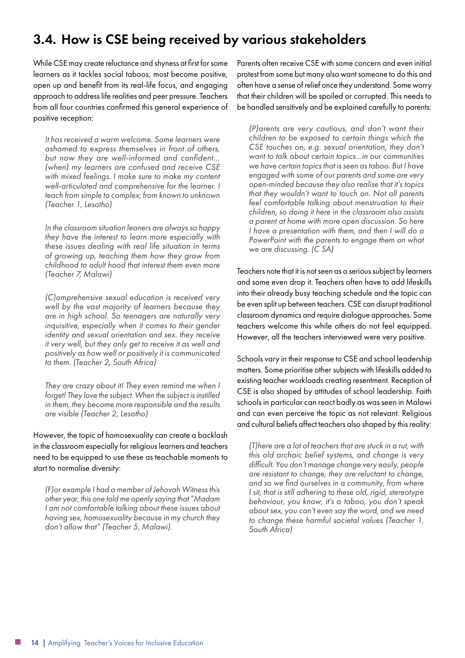#### 3.4. How is CSE being received by various stakeholders

While CSE may create reluctance and shyness at first for some learners as it tackles social taboos, most become positive, open up and benefit from its real-life focus, and engaging approach to address life realities and peer pressure. Teachers from all four countries confirmed this general experience of positive reception:

*It has received a warm welcome. Some learners were ashamed to express themselves in front of others, but now they are well-informed and confident… (when) my learners are confused and receive CSE with mixed feelings. I make sure to make my content well-articulated and comprehensive for the learner. I teach from simple to complex; from known to unknown (Teacher 1, Lesotho)*

*In the classroom situation leaners are always so happy they have the interest to learn more especially with these issues dealing with real life situation in terms of growing up, teaching them how they grow from childhood to adult hood that interest them even more (Teacher 7, Malawi)*

*(C)omprehensive sexual education is received very well by the vast majority of learners because they are in high school. So teenagers are naturally very inquisitive, especially when it comes to their gender identity and sexual orientation and sex. they receive it very well, but they only get to receive it as well and positively as how well or positively it is communicated to them. (Teacher 2, South Africa)*

*They are crazy about it! They even remind me when I forget! They love the subject. When the subject is instilled in them, they become more responsible and the results are visible (Teacher 2, Lesotho)*

However, the topic of homosexuality can create a backlash in the classroom especially for religious learners and teachers need to be equipped to use these as teachable moments to start to normalise diversity:

*(F)or example I had a member of Jehovah Witness this other year, this one told me openly saying that "Madam I am not comfortable talking about these issues about having sex, homosexuality because in my church they don't allow that" (Teacher 5, Malawi).* 

Parents often receive CSE with some concern and even initial protest from some but many also want someone to do this and often have a sense of relief once they understand. Some worry that their children will be spoiled or corrupted. This needs to be handled sensitively and be explained carefully to parents:

*(P)arents are very cautious, and don't want their children to be exposed to certain things which the CSE touches on, e.g. sexual orientation, they don't want to talk about certain topics…in our communities we have certain topics that is seen as taboo. But I have engaged with some of our parents and some are very open-minded because they also realise that it's topics that they wouldn't want to touch on. Not all parents feel comfortable talking about menstruation to their children, so doing it here in the classroom also assists a parent at home with more open discussion. So here I have a presentation with them, and then I will do a PowerPoint with the parents to engage them on what we are discussing. (C SA)*

Teachers note that it is not seen as a serious subject by learners and some even drop it. Teachers often have to add lifeskills into their already busy teaching schedule and the topic can be even split up between teachers. CSE can disrupt traditional classroom dynamics and require dialogue approaches. Some teachers welcome this while others do not feel equipped. However, all the teachers interviewed were very positive.

Schools vary in their response to CSE and school leadership matters. Some prioritise other subjects with lifeskills added to existing teacher workloads creating resentment. Reception of CSE is also shaped by attitudes of school leadership. Faith schools in particular can react badly as was seen in Malawi and can even perceive the topic as not relevant. Religious and cultural beliefs affect teachers also shaped by this reality:

*(T)here are a lot of teachers that are stuck in a rut, with this old archaic belief systems, and change is very difficult. You don't manage change very easily, people are resistant to change, they are reluctant to change, and so we find ourselves in a community, from where I sit, that is still adhering to these old, rigid, stereotype behaviour, you know, it's a taboo, you don't speak about sex, you can't even say the word, and we need to change these harmful societal values (Teacher 1, South Africa)*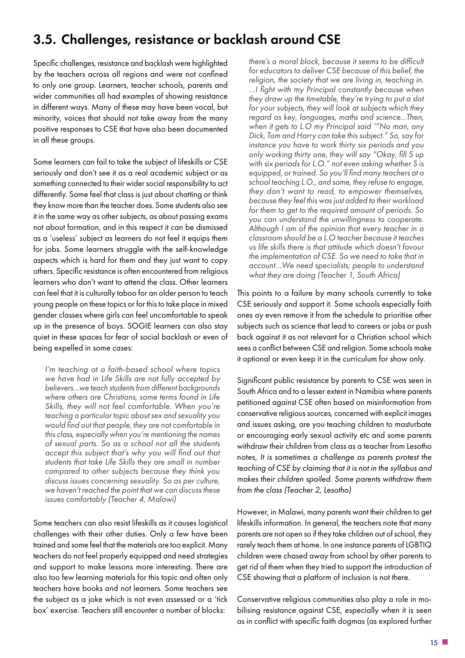#### 3.5. Challenges, resistance or backlash around CSE

Specific challenges, resistance and backlash were highlighted by the teachers across all regions and were not confined to only one group. Learners, teacher schools, parents and wider communities all had examples of showing resistance in different ways. Many of these may have been vocal, but minority, voices that should not take away from the many positive responses to CSE that have also been documented in all these groups.

Some learners can fail to take the subject of lifeskills or CSE seriously and don't see it as a real academic subject or as something connected to their wider social responsibility to act differently. Some feel that class is just about chatting or think they know more than the teacher does. Some students also see it in the same way as other subjects, as about passing exams not about formation, and in this respect it can be dismissed as a 'useless' subject as learners do not feel it equips them for jobs. Some learners struggle with the self-knowledge aspects which is hard for them and they just want to copy others. Specific resistance is often encountered from religious learners who don't want to attend the class. Other learners can feel that it is culturally taboo for an older person to teach young people on these topics or for this to take place in mixed gender classes where girls can feel uncomfortable to speak up in the presence of boys. SOGIE learners can also stay quiet in these spaces for fear of social backlash or even of being expelled in some cases:

*I'm teaching at a faith-based school where topics we have had in Life Skills are not fully accepted by believers…we teach students from different backgrounds where others are Christians, some terms found in Life Skills, they will not feel comfortable. When you're teaching a particular topic about sex and sexuality you would find out that people, they are not comfortable in this class, especially when you're mentioning the names of sexual parts. So as a school not all the students accept this subject that's why you will find out that students that take Life Skills they are small in number compared to other subjects because they think you discuss issues concerning sexuality. So as per culture, we haven't reached the point that we can discuss these issues comfortably (Teacher 4, Malawi)*

Some teachers can also resist lifeskills as it causes logistical challenges with their other duties. Only a few have been trained and some feel that the materials are too explicit. Many teachers do not feel properly equipped and need strategies and support to make lessons more interesting. There are also too few learning materials for this topic and often only teachers have books and not learners. Some teachers see the subject as a joke which is not even assessed or a 'tick box' exercise. Teachers still encounter a number of blocks:

*there's a moral block, because it seems to be difficult for educators to deliver CSE because of this belief, the religion, the society that we are living in, teaching in. …I fight with my Principal constantly because when they draw up the timetable, they're trying to put a slot for your subjects, they will look at subjects which they regard as key, languages, maths and science...Then, when it gets to L.O my Principal said '"No man, any Dick, Tom and Harry can take this subject." So, say for instance you have to work thirty six periods and you only working thirty one, they will say "Okay, fill S up with six periods for L.O." not even asking whether S is equipped, or trained. So you'll find many teachers at a school teaching L.O., and some, they refuse to engage, they don't want to read, to empower themselves, because they feel this was just added to their workload for them to get to the required amount of periods. So you can understand the unwillingness to cooperate. Although I am of the opinion that every teacher in a classroom should be a L.O teacher because it teaches us life skills there is that attitude which doesn't favour the implementation of CSE. So we need to take that in account…We need specialists; people to understand what they are doing (Teacher 1, South Africa)*

This points to a failure by many schools currently to take CSE seriously and support it. Some schools especially faith ones ay even remove it from the schedule to prioritise other subjects such as science that lead to careers or jobs or push back against it as not relevant for a Christian school which sees a conflict between CSE and religion. Some schools make it optional or even keep it in the curriculum for show only.

Significant public resistance by parents to CSE was seen in South Africa and to a lesser extent in Namibia where parents petitioned against CSE often based on misinformation from conservative religious sources, concerned with explicit images and issues asking, are you teaching children to masturbate or encouraging early sexual activity etc and some parents withdraw their children from class as a teacher from Lesotho notes, *It is sometimes a challenge as parents protest the teaching of CSE by claiming that it is not in the syllabus and makes their children spoiled. Some parents withdraw them from the class (Teacher 2, Lesotho)*

However, in Malawi, many parents want their children to get lifeskills information. In general, the teachers note that many parents are not open so if they take children out of school, they rarely teach them at home. In one instance parents of LGBTIQ children were chased away from school by other parents to get rid of them when they tried to support the introduction of CSE showing that a platform of inclusion is not there.

Conservative religious communities also play a role in mobilising resistance against CSE, especially when it is seen as in conflict with specific faith dogmas (as explored further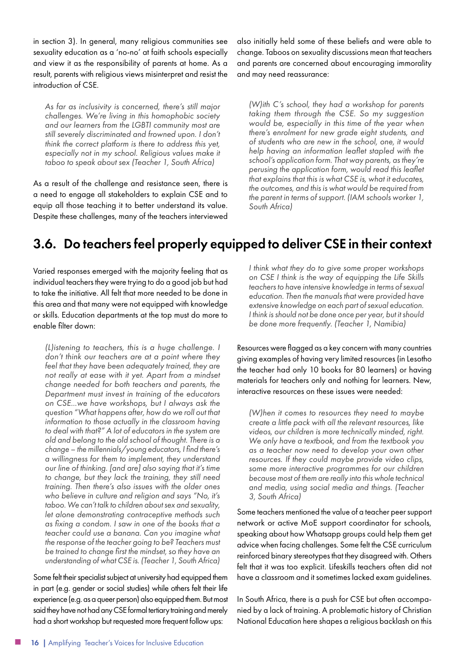in section 3). In general, many religious communities see sexuality education as a 'no-no' at faith schools especially and view it as the responsibility of parents at home. As a result, parents with religious views misinterpret and resist the introduction of CSE.

*As far as inclusivity is concerned, there's still major challenges. We're living in this homophobic society and our learners from the LGBTI community most are still severely discriminated and frowned upon. I don't think the correct platform is there to address this yet, especially not in my school. Religious values make it taboo to speak about sex (Teacher 1, South Africa)*

As a result of the challenge and resistance seen, there is a need to engage all stakeholders to explain CSE and to equip all those teaching it to better understand its value. Despite these challenges, many of the teachers interviewed

also initially held some of these beliefs and were able to change. Taboos on sexuality discussions mean that teachers and parents are concerned about encouraging immorality and may need reassurance:

*(W)ith C's school, they had a workshop for parents taking them through the CSE. So my suggestion would be, especially in this time of the year when there's enrolment for new grade eight students, and of students who are new in the school, one, it would help having an information leaflet stapled with the school's application form. That way parents, as they're perusing the application form, would read this leaflet that explains that this is what CSE is, what it educates, the outcomes, and this is what would be required from the parent in terms of support. (IAM schools worker 1, South Africa)*

#### 3.6. Do teachers feel properly equipped to deliver CSE in their context

Varied responses emerged with the majority feeling that as individual teachers they were trying to do a good job but had to take the initiative. All felt that more needed to be done in this area and that many were not equipped with knowledge or skills. Education departments at the top must do more to enable filter down:

*(L)istening to teachers, this is a huge challenge. I don't think our teachers are at a point where they feel that they have been adequately trained, they are not really at ease with it yet. Apart from a mindset change needed for both teachers and parents, the Department must invest in training of the educators on CSE...we have workshops, but I always ask the question "What happens after, how do we roll out that information to those actually in the classroom having to deal with that?" A lot of educators in the system are old and belong to the old school of thought. There is a change – the millennials/young educators, I find there's a willingness for them to implement, they understand our line of thinking. [and are] also saying that it's time to change, but they lack the training, they still need training. Then there's also issues with the older ones who believe in culture and religion and says "No, it's taboo. We can't talk to children about sex and sexuality, let alone demonstrating contraceptive methods such as fixing a condom. I saw in one of the books that a teacher could use a banana. Can you imagine what the response of the teacher going to be? Teachers must be trained to change first the mindset, so they have an understanding of what CSE is. (Teacher 1, South Africa)*

Some felt their specialist subject at university had equipped them in part (e.g. gender or social studies) while others felt their life experience (e.g. as a queer person) also equipped them. But most said they have not had any CSE formal tertiary training and merely had a short workshop but requested more frequent follow ups:

*I think what they do to give some proper workshops on CSE I think is the way of equipping the Life Skills teachers to have intensive knowledge in terms of sexual education. Then the manuals that were provided have extensive knowledge on each part of sexual education. I think is should not be done once per year, but it should be done more frequently. (Teacher 1, Namibia)*

Resources were flagged as a key concern with many countries giving examples of having very limited resources (in Lesotho the teacher had only 10 books for 80 learners) or having materials for teachers only and nothing for learners. New, interactive resources on these issues were needed:

*(W)hen it comes to resources they need to maybe create a little pack with all the relevant resources, like videos, our children is more technically minded, right. We only have a textbook, and from the textbook you as a teacher now need to develop your own other resources. If they could maybe provide video clips, some more interactive programmes for our children because most of them are really into this whole technical and media, using social media and things. (Teacher 3, South Africa)*

Some teachers mentioned the value of a teacher peer support network or active MoE support coordinator for schools, speaking about how Whatsapp groups could help them get advice when facing challenges. Some felt the CSE curriculum reinforced binary stereotypes that they disagreed with. Others felt that it was too explicit. Lifeskills teachers often did not have a classroom and it sometimes lacked exam guidelines.

In South Africa, there is a push for CSE but often accompanied by a lack of training. A problematic history of Christian National Education here shapes a religious backlash on this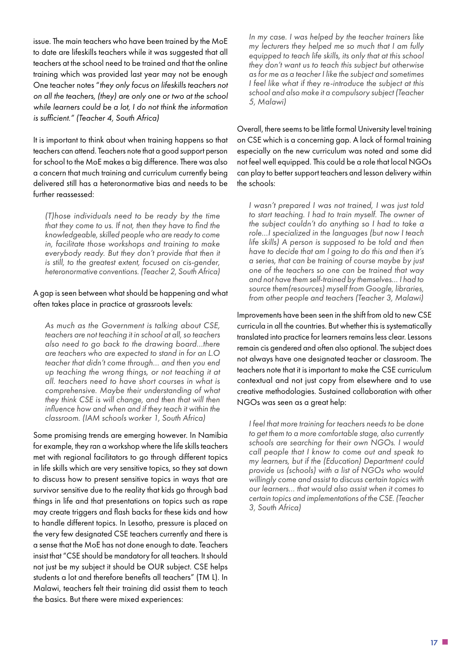issue. The main teachers who have been trained by the MoE to date are lifeskills teachers while it was suggested that all teachers at the school need to be trained and that the online training which was provided last year may not be enough One teacher notes "*they only focus on lifeskills teachers not on all the teachers, (they) are only one or two at the school while learners could be a lot, I do not think the information is sufficient." (Teacher 4, South Africa)*

It is important to think about when training happens so that teachers can attend. Teachers note that a good support person for school to the MoE makes a big difference. There was also a concern that much training and curriculum currently being delivered still has a heteronormative bias and needs to be further reassessed:

*(T)hose individuals need to be ready by the time that they come to us. If not, then they have to find the knowledgeable, skilled people who are ready to come in, facilitate those workshops and training to make everybody ready. But they don't provide that then it is still, to the greatest extent, focused on cis-gender, heteronormative conventions. (Teacher 2, South Africa)*

#### A gap is seen between what should be happening and what often takes place in practice at grassroots levels:

*As much as the Government is talking about CSE, teachers are not teaching it in school at all, so teachers also need to go back to the drawing board…there are teachers who are expected to stand in for an L.O teacher that didn't come through… and then you end up teaching the wrong things, or not teaching it at all. teachers need to have short courses in what is comprehensive. Maybe their understanding of what they think CSE is will change, and then that will then influence how and when and if they teach it within the classroom. (IAM schools worker 1, South Africa)*

Some promising trends are emerging however. In Namibia for example, they ran a workshop where the life skills teachers met with regional facilitators to go through different topics in life skills which are very sensitive topics, so they sat down to discuss how to present sensitive topics in ways that are survivor sensitive due to the reality that kids go through bad things in life and that presentations on topics such as rape may create triggers and flash backs for these kids and how to handle different topics. In Lesotho, pressure is placed on the very few designated CSE teachers currently and there is a sense that the MoE has not done enough to date. Teachers insist that "CSE should be mandatory for all teachers. It should not just be my subject it should be OUR subject. CSE helps students a lot and therefore benefits all teachers" (TM L). In Malawi, teachers felt their training did assist them to teach the basics. But there were mixed experiences:

*In my case. I was helped by the teacher trainers like my lecturers they helped me so much that I am fully equipped to teach life skills, its only that at this school they don't want us to teach this subject but otherwise as for me as a teacher I like the subject and sometimes I feel like what if they re-introduce the subject at this school and also make it a compulsory subject (Teacher 5, Malawi)*

Overall, there seems to be little formal University level training on CSE which is a concerning gap. A lack of formal training especially on the new curriculum was noted and some did not feel well equipped. This could be a role that local NGOs can play to better support teachers and lesson delivery within the schools:

*I wasn't prepared I was not trained, I was just told to start teaching. I had to train myself. The owner of the subject couldn't do anything so I had to take a role…I specialized in the languages (but now I teach life skills) A person is supposed to be told and then have to decide that am I going to do this and then it's a series, that can be training of course maybe by just one of the teachers so one can be trained that way and not have them self-trained by themselves… I had to source them(resources) myself from Google, libraries, from other people and teachers (Teacher 3, Malawi)*

Improvements have been seen in the shift from old to new CSE curricula in all the countries. But whether this is systematically translated into practice for learners remains less clear. Lessons remain cis gendered and often also optional. The subject does not always have one designated teacher or classroom. The teachers note that it is important to make the CSE curriculum contextual and not just copy from elsewhere and to use creative methodologies. Sustained collaboration with other NGOs was seen as a great help:

*I feel that more training for teachers needs to be done to get them to a more comfortable stage, also currently schools are searching for their own NGOs. I would call people that I know to come out and speak to my learners, but if the (Education) Department could provide us (schools) with a list of NGOs who would willingly come and assist to discuss certain topics with our learners… that would also assist when it comes to certain topics and implementations of the CSE. (Teacher 3, South Africa)*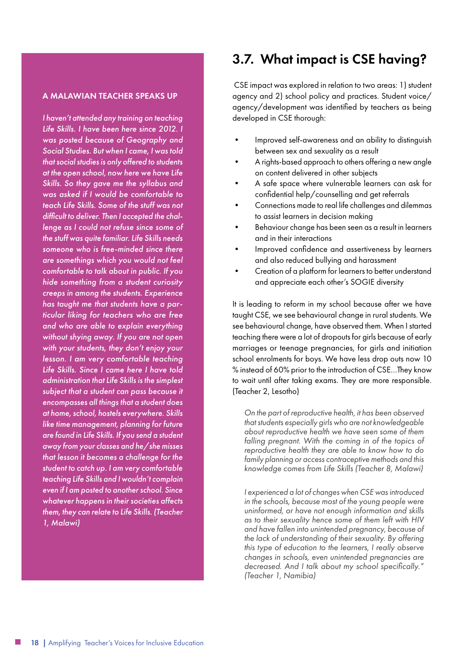#### A MALAWIAN TEACHER SPEAKS UP

*I haven't attended any training on teaching Life Skills. I have been here since 2012. I was posted because of Geography and Social Studies. But when I came, I was told that social studies is only offered to students at the open school, now here we have Life Skills. So they gave me the syllabus and was asked if I would be comfortable to teach Life Skills. Some of the stuff was not difficult to deliver. Then I accepted the challenge as I could not refuse since some of the stuff was quite familiar. Life Skills needs someone who is free-minded since there are somethings which you would not feel comfortable to talk about in public. If you hide something from a student curiosity creeps in among the students. Experience has taught me that students have a particular liking for teachers who are free and who are able to explain everything without shying away. If you are not open with your students, they don't enjoy your lesson. I am very comfortable teaching Life Skills. Since I came here I have told administration that Life Skills is the simplest subject that a student can pass because it encompasses all things that a student does at home, school, hostels everywhere. Skills like time management, planning for future are found in Life Skills. If you send a student away from your classes and he/she misses that lesson it becomes a challenge for the student to catch up. I am very comfortable teaching Life Skills and I wouldn't complain even if I am posted to another school. Since whatever happens in their societies affects them, they can relate to Life Skills. (Teacher 1, Malawi)*

#### 3.7. What impact is CSE having?

 CSE impact was explored in relation to two areas: 1) student agency and 2) school policy and practices. Student voice/ agency/development was identified by teachers as being developed in CSE thorough:

- Improved self-awareness and an ability to distinguish between sex and sexuality as a result
- A rights-based approach to others offering a new angle on content delivered in other subjects
- A safe space where vulnerable learners can ask for confidential help/counselling and get referrals
- Connections made to real life challenges and dilemmas to assist learners in decision making
- Behaviour change has been seen as a result in learners and in their interactions
- Improved confidence and assertiveness by learners and also reduced bullying and harassment
- Creation of a platform for learners to better understand and appreciate each other's SOGIE diversity

It is leading to reform in my school because after we have taught CSE, we see behavioural change in rural students. We see behavioural change, have observed them. When I started teaching there were a lot of dropouts for girls because of early marriages or teenage pregnancies, for girls and initiation school enrolments for boys. We have less drop outs now 10 % instead of 60% prior to the introduction of CSE…They know to wait until after taking exams. They are more responsible. (Teacher 2, Lesotho)

*On the part of reproductive health, it has been observed that students especially girls who are not knowledgeable about reproductive health we have seen some of them*  falling pregnant. With the coming in of the topics of *reproductive health they are able to know how to do family planning or access contraceptive methods and this knowledge comes from Life Skills (Teacher 8, Malawi)*

*I experienced a lot of changes when CSE was introduced in the schools, because most of the young people were uninformed, or have not enough information and skills as to their sexuality hence some of them left with HIV and have fallen into unintended pregnancy, because of the lack of understanding of their sexuality. By offering this type of education to the learners, I really observe changes in schools, even unintended pregnancies are decreased. And I talk about my school specifically." (Teacher 1, Namibia)*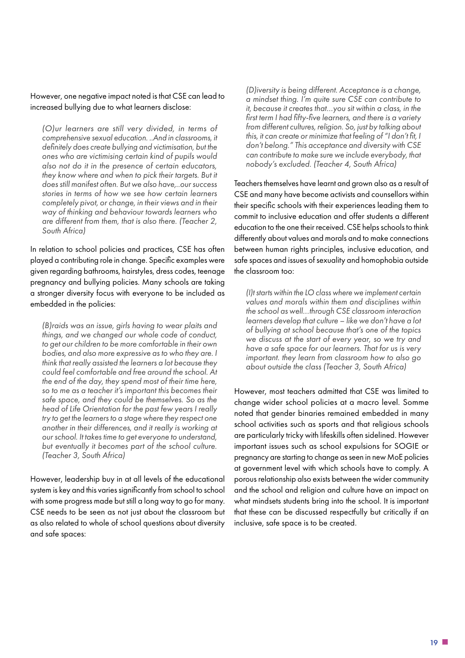However, one negative impact noted is that CSE can lead to increased bullying due to what learners disclose:

*(O)ur learners are still very divided, in terms of comprehensive sexual education. ..And in classrooms, it definitely does create bullying and victimisation, but the ones who are victimising certain kind of pupils would also not do it in the presence of certain educators, they know where and when to pick their targets. But it does still manifest often. But we also have,..our success stories in terms of how we see how certain learners completely pivot, or change, in their views and in their way of thinking and behaviour towards learners who are different from them, that is also there. (Teacher 2, South Africa)*

In relation to school policies and practices, CSE has often played a contributing role in change. Specific examples were given regarding bathrooms, hairstyles, dress codes, teenage pregnancy and bullying policies. Many schools are taking a stronger diversity focus with everyone to be included as embedded in the policies:

*(B)raids was an issue, girls having to wear plaits and things, and we changed our whole code of conduct, to get our children to be more comfortable in their own bodies, and also more expressive as to who they are. I think that really assisted the learners a lot because they could feel comfortable and free around the school. At the end of the day, they spend most of their time here, so to me as a teacher it's important this becomes their safe space, and they could be themselves. So as the head of Life Orientation for the past few years I really try to get the learners to a stage where they respect one another in their differences, and it really is working at our school. It takes time to get everyone to understand, but eventually it becomes part of the school culture. (Teacher 3, South Africa)*

However, leadership buy in at all levels of the educational system is key and this varies significantly from school to school with some progress made but still a long way to go for many. CSE needs to be seen as not just about the classroom but as also related to whole of school questions about diversity and safe spaces:

*(D)iversity is being different. Acceptance is a change, a mindset thing. I'm quite sure CSE can contribute to it, because it creates that…you sit within a class, in the first term I had fifty-five learners, and there is a variety from different cultures, religion. So, just by talking about this, it can create or minimize that feeling of "I don't fit, I don't belong." This acceptance and diversity with CSE can contribute to make sure we include everybody, that nobody's excluded. (Teacher 4, South Africa)*

Teachers themselves have learnt and grown also as a result of CSE and many have become activists and counsellors within their specific schools with their experiences leading them to commit to inclusive education and offer students a different education to the one their received. CSE helps schools to think differently about values and morals and to make connections between human rights principles, inclusive education, and safe spaces and issues of sexuality and homophobia outside the classroom too:

*(I)t starts within the LO class where we implement certain values and morals within them and disciplines within the school as well…through CSE classroom interaction learners develop that culture – like we don't have a lot of bullying at school because that's one of the topics we discuss at the start of every year, so we try and have a safe space for our learners. That for us is very important. they learn from classroom how to also go about outside the class (Teacher 3, South Africa)*

However, most teachers admitted that CSE was limited to change wider school policies at a macro level. Somme noted that gender binaries remained embedded in many school activities such as sports and that religious schools are particularly tricky with lifeskills often sidelined. However important issues such as school expulsions for SOGIE or pregnancy are starting to change as seen in new MoE policies at government level with which schools have to comply. A porous relationship also exists between the wider community and the school and religion and culture have an impact on what mindsets students bring into the school. It is important that these can be discussed respectfully but critically if an inclusive, safe space is to be created.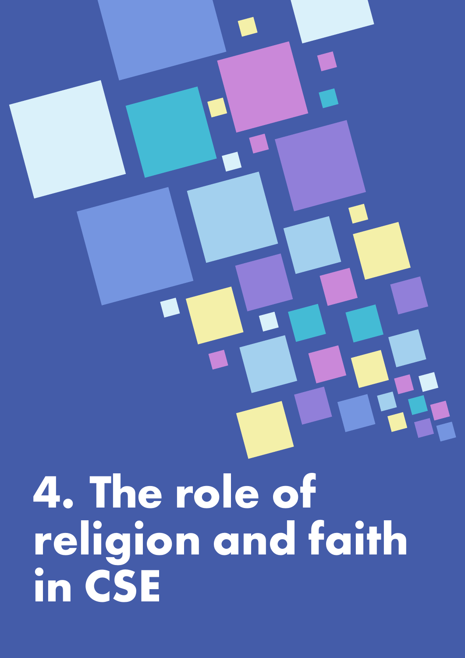<span id="page-19-0"></span>**4. The role of religion and faith in CSE**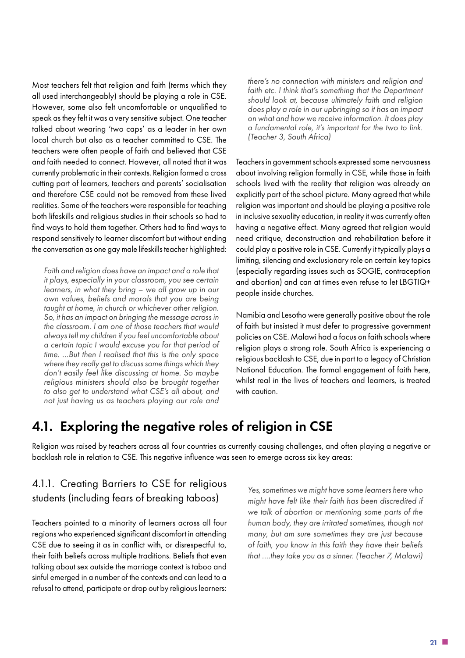Most teachers felt that religion and faith (terms which they all used interchangeably) should be playing a role in CSE. However, some also felt uncomfortable or unqualified to speak as they felt it was a very sensitive subject. One teacher talked about wearing 'two caps' as a leader in her own local church but also as a teacher committed to CSE. The teachers were often people of faith and believed that CSE and faith needed to connect. However, all noted that it was currently problematic in their contexts. Religion formed a cross cutting part of learners, teachers and parents' socialisation and therefore CSE could not be removed from these lived realities. Some of the teachers were responsible for teaching both lifeskills and religious studies in their schools so had to find ways to hold them together. Others had to find ways to respond sensitively to learner discomfort but without ending the conversation as one gay male lifeskills teacher highlighted:

*Faith and religion does have an impact and a role that it plays, especially in your classroom, you see certain learners, in what they bring – we all grow up in our own values, beliefs and morals that you are being taught at home, in church or whichever other religion. So, it has an impact on bringing the message across in the classroom. I am one of those teachers that would always tell my children if you feel uncomfortable about a certain topic I would excuse you for that period of time. …But then I realised that this is the only space where they really get to discuss some things which they don't easily feel like discussing at home. So maybe religious ministers should also be brought together to also get to understand what CSE's all about, and not just having us as teachers playing our role and* 

*there's no connection with ministers and religion and*  faith etc. I think that's something that the Department *should look at, because ultimately faith and religion does play a role in our upbringing so it has an impact on what and how we receive information. It does play a fundamental role, it's important for the two to link. (Teacher 3, South Africa)*

Teachers in government schools expressed some nervousness about involving religion formally in CSE, while those in faith schools lived with the reality that religion was already an explicitly part of the school picture. Many agreed that while religion was important and should be playing a positive role in inclusive sexuality education, in reality it was currently often having a negative effect. Many agreed that religion would need critique, deconstruction and rehabilitation before it could play a positive role in CSE. Currently it typically plays a limiting, silencing and exclusionary role on certain key topics (especially regarding issues such as SOGIE, contraception and abortion) and can at times even refuse to let LBGTIQ+ people inside churches.

Namibia and Lesotho were generally positive about the role of faith but insisted it must defer to progressive government policies on CSE. Malawi had a focus on faith schools where religion plays a strong role. South Africa is experiencing a religious backlash to CSE, due in part to a legacy of Christian National Education. The formal engagement of faith here, whilst real in the lives of teachers and learners, is treated with caution.

#### 4.1. Exploring the negative roles of religion in CSE

Religion was raised by teachers across all four countries as currently causing challenges, and often playing a negative or backlash role in relation to CSE. This negative influence was seen to emerge across six key areas:

#### 4.1.1. Creating Barriers to CSE for religious students (including fears of breaking taboos)

Teachers pointed to a minority of learners across all four regions who experienced significant discomfort in attending CSE due to seeing it as in conflict with, or disrespectful to, their faith beliefs across multiple traditions. Beliefs that even talking about sex outside the marriage context is taboo and sinful emerged in a number of the contexts and can lead to a refusal to attend, participate or drop out by religious learners:

*Yes, sometimes we might have some learners here who might have felt like their faith has been discredited if we talk of abortion or mentioning some parts of the human body, they are irritated sometimes, though not many, but am sure sometimes they are just because of faith, you know in this faith they have their beliefs that ….they take you as a sinner. (Teacher 7, Malawi)*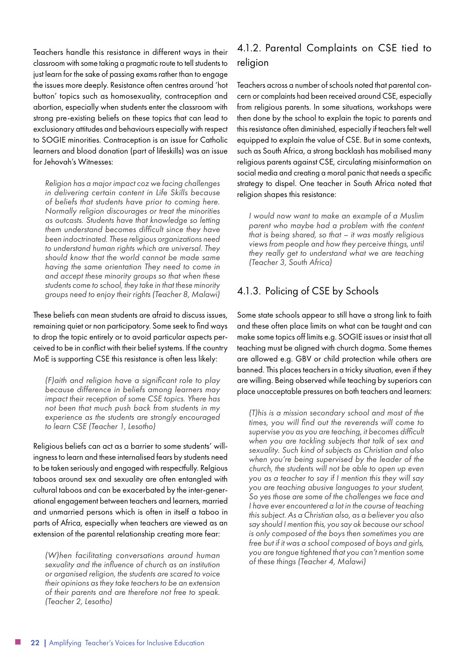Teachers handle this resistance in different ways in their classroom with some taking a pragmatic route to tell students to just learn for the sake of passing exams rather than to engage the issues more deeply. Resistance often centres around 'hot button' topics such as homosexuality, contraception and abortion, especially when students enter the classroom with strong pre-existing beliefs on these topics that can lead to exclusionary attitudes and behaviours especially with respect to SOGIE minorities. Contraception is an issue for Catholic learners and blood donation (part of lifeskills) was an issue for Jehovah's Witnesses:

*Religion has a major impact coz we facing challenges in delivering certain content in Life Skills because of beliefs that students have prior to coming here. Normally religion discourages or treat the minorities as outcasts. Students have that knowledge so letting them understand becomes difficult since they have been indoctrinated. These religious organizations need to understand human rights which are universal. They should know that the world cannot be made same having the same orientation They need to come in and accept these minority groups so that when these students come to school, they take in that these minority groups need to enjoy their rights (Teacher 8, Malawi)*

These beliefs can mean students are afraid to discuss issues, remaining quiet or non participatory. Some seek to find ways to drop the topic entirely or to avoid particular aspects perceived to be in conflict with their belief systems. If the country MoE is supporting CSE this resistance is often less likely:

*(F)aith and religion have a significant role to play because difference in beliefs among learners may impact their reception of some CSE topics. Yhere has not been that much push back from students in my experience as the students are strongly encouraged to learn CSE (Teacher 1, Lesotho)*

Religious beliefs can act as a barrier to some students' willingness to learn and these internalised fears by students need to be taken seriously and engaged with respectfully. Relgious taboos around sex and sexuality are often entangled with cultural taboos and can be exacerbated by the inter-generational engagement between teachers and learners, married and unmarried persons which is often in itself a taboo in parts of Africa, especially when teachers are viewed as an extension of the parental relationship creating more fear:

*(W)hen facilitating conversations around human sexuality and the influence of church as an institution or organised religion, the students are scared to voice their opinions as they take teachers to be an extension of their parents and are therefore not free to speak. (Teacher 2, Lesotho)*

#### 4.1.2. Parental Complaints on CSE tied to religion

Teachers across a number of schools noted that parental concern or complaints had been received around CSE, especially from religious parents. In some situations, workshops were then done by the school to explain the topic to parents and this resistance often diminished, especially if teachers felt well equipped to explain the value of CSE. But in some contexts, such as South Africa, a strong backlash has mobilised many religious parents against CSE, circulating misinformation on social media and creating a moral panic that needs a specific strategy to dispel. One teacher in South Africa noted that religion shapes this resistance:

*I would now want to make an example of a Muslim parent who maybe had a problem with the content that is being shared, so that – it was mostly religious views from people and how they perceive things, until they really get to understand what we are teaching (Teacher 3, South Africa)*

#### 4.1.3. Policing of CSE by Schools

Some state schools appear to still have a strong link to faith and these often place limits on what can be taught and can make some topics off limits e.g. SOGIE issues or insist that all teaching must be aligned with church dogma. Some themes are allowed e.g. GBV or child protection while others are banned. This places teachers in a tricky situation, even if they are willing. Being observed while teaching by superiors can place unacceptable pressures on both teachers and learners:

*(T)his is a mission secondary school and most of the times, you will find out the reverends will come to supervise you as you are teaching, it becomes difficult when you are tackling subjects that talk of sex and sexuality. Such kind of subjects as Christian and also when you're being supervised by the leader of the church, the students will not be able to open up even you as a teacher to say if I mention this they will say you are teaching abusive languages to your student, So yes those are some of the challenges we face and I have ever encountered a lot in the course of teaching this subject. As a Christian also, as a believer you also say should I mention this, you say ok because our school is only composed of the boys then sometimes you are free but if it was a school composed of boys and girls, you are tongue tightened that you can't mention some of these things (Teacher 4, Malawi)*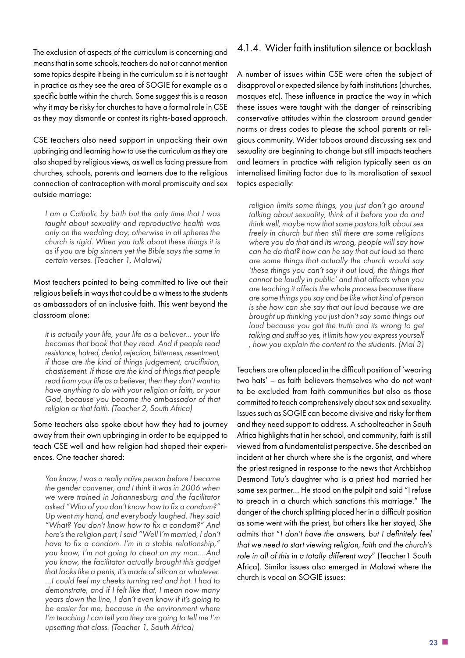The exclusion of aspects of the curriculum is concerning and means that in some schools, teachers do not or cannot mention some topics despite it being in the curriculum so it is not taught in practice as they see the area of SOGIE for example as a specific battle within the church. Some suggest this is a reason why it may be risky for churches to have a formal role in CSE as they may dismantle or contest its rights-based approach.

CSE teachers also need support in unpacking their own upbringing and learning how to use the curriculum as they are also shaped by religious views, as well as facing pressure from churches, schools, parents and learners due to the religious connection of contraception with moral promiscuity and sex outside marriage:

*I am a Catholic by birth but the only time that I was taught about sexuality and reproductive health was only on the wedding day; otherwise in all spheres the church is rigid. When you talk about these things it is as if you are big sinners yet the Bible says the same in certain verses. (Teacher 1, Malawi)*

Most teachers pointed to being committed to live out their religious beliefs in ways that could be a witness to the students as ambassadors of an inclusive faith. This went beyond the classroom alone:

*it is actually your life, your life as a believer… your life becomes that book that they read. And if people read resistance, hatred, denial, rejection, bitterness, resentment, if those are the kind of things judgement, crucifixion, chastisement. If those are the kind of things that people read from your life as a believer, then they don't want to have anything to do with your religion or faith, or your God, because you become the ambassador of that religion or that faith. (Teacher 2, South Africa)*

Some teachers also spoke about how they had to journey away from their own upbringing in order to be equipped to teach CSE well and how religion had shaped their experiences. One teacher shared:

*You know, I was a really naïve person before I became the gender convener, and I think it was in 2006 when we were trained in Johannesburg and the facilitator asked "Who of you don't know how to fix a condom?" Up went my hand, and everybody laughed. They said "What? You don't know how to fix a condom?" And here's the religion part, I said "Well I'm married, I don't have to fix a condom. I'm in a stable relationship," you know, I'm not going to cheat on my man….And you know, the facilitator actually brought this gadget that looks like a penis, it's made of silicon or whatever. …I could feel my cheeks turning red and hot. I had to demonstrate, and if I felt like that, I mean now many years down the line, I don't even know if it's going to be easier for me, because in the environment where I'm teaching I can tell you they are going to tell me I'm upsetting that class. (Teacher 1, South Africa)*

#### 4.1.4. Wider faith institution silence or backlash

A number of issues within CSE were often the subject of disapproval or expected silence by faith institutions (churches, mosques etc). These influence in practice the way in which these issues were taught with the danger of reinscribing conservative attitudes within the classroom around gender norms or dress codes to please the school parents or religious community. Wider taboos around discussing sex and sexuality are beginning to change but still impacts teachers and learners in practice with religion typically seen as an internalised limiting factor due to its moralisation of sexual topics especially:

*religion limits some things, you just don't go around talking about sexuality, think of it before you do and think well, maybe now that some pastors talk about sex freely in church but then still there are some religions where you do that and its wrong, people will say how can he do that? how can he say that out loud so there are some things that actually the church would say 'these things you can't say it out loud, the things that cannot be loudly in public' and that affects when you are teaching it affects the whole process because there are some things you say and be like what kind of person is she how can she say that out loud because we are brought up thinking you just don't say some things out loud because you got the truth and its wrong to get talking and stuff so yes, it limits how you express yourself , how you explain the content to the students. (Mal 3)*

Teachers are often placed in the difficult position of 'wearing two hats' – as faith believers themselves who do not want to be excluded from faith communities but also as those committed to teach comprehensively about sex and sexuality. Issues such as SOGIE can become divisive and risky for them and they need support to address. A schoolteacher in South Africa highlights that in her school, and community, faith is still viewed from a fundamentalist perspective. She described an incident at her church where she is the organist, and where the priest resigned in response to the news that Archbishop Desmond Tutu's daughter who is a priest had married her same sex partner… He stood on the pulpit and said "I refuse to preach in a church which sanctions this marriage." The danger of the church splitting placed her in a difficult position as some went with the priest, but others like her stayed, She admits that "*I don't have the answers, but I definitely feel that we need to start viewing religion, faith and the church's role in all of this in a totally different way*" (Teacher1 South Africa). Similar issues also emerged in Malawi where the church is vocal on SOGIE issues: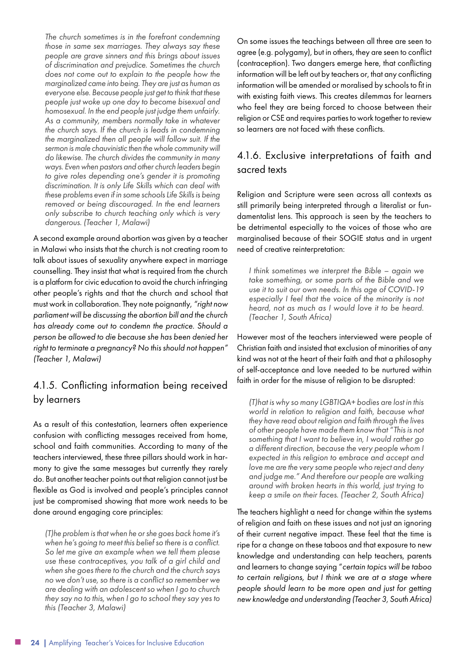*The church sometimes is in the forefront condemning those in same sex marriages. They always say these people are grave sinners and this brings about issues of discrimination and prejudice. Sometimes the church does not come out to explain to the people how the marginalized came into being. They are just as human as everyone else. Because people just get to think that these people just woke up one day to become bisexual and homosexual. In the end people just judge them unfairly. As a community, members normally take in whatever the church says. If the church is leads in condemning the marginalized then all people will follow suit. If the sermon is male chauvinistic then the whole community will do likewise. The church divides the community in many ways. Even when pastors and other church leaders begin to give roles depending one's gender it is promoting discrimination. It is only Life Skills which can deal with these problems even if in some schools Life Skills is being removed or being discouraged. In the end learners only subscribe to church teaching only which is very dangerous. (Teacher 1, Malawi)*

A second example around abortion was given by a teacher in Malawi who insists that the church is not creating room to talk about issues of sexuality anywhere expect in marriage counselling. They insist that what is required from the church is a platform for civic education to avoid the church infringing other people's rights and that the church and school that must work in collaboration. They note poignantly, *"right now parliament will be discussing the abortion bill and the church has already come out to condemn the practice. Should a person be allowed to die because she has been denied her right to terminate a pregnancy? No this should not happen" (Teacher 1, Malawi)*

#### 4.1.5. Conflicting information being received by learners

As a result of this contestation, learners often experience confusion with conflicting messages received from home, school and faith communities. According to many of the teachers interviewed, these three pillars should work in harmony to give the same messages but currently they rarely do. But another teacher points out that religion cannot just be flexible as God is involved and people's principles cannot just be compromised showing that more work needs to be done around engaging core principles:

*(T)he problem is that when he or she goes back home it's when he's going to meet this belief so there is a conflict. So let me give an example when we tell them please use these contraceptives, you talk of a girl child and when she goes there to the church and the church says no we don't use, so there is a conflict so remember we are dealing with an adolescent so when I go to church they say no to this, when I go to school they say yes to this (Teacher 3, Malawi)*

On some issues the teachings between all three are seen to agree (e.g. polygamy), but in others, they are seen to conflict (contraception). Two dangers emerge here, that conflicting information will be left out by teachers or, that any conflicting information will be amended or moralised by schools to fit in with existing faith views. This creates dilemmas for learners who feel they are being forced to choose between their religion or CSE and requires parties to work together to review so learners are not faced with these conflicts.

#### 4.1.6. Exclusive interpretations of faith and sacred texts

Religion and Scripture were seen across all contexts as still primarily being interpreted through a literalist or fundamentalist lens. This approach is seen by the teachers to be detrimental especially to the voices of those who are marginalised because of their SOGIE status and in urgent need of creative reinterpretation:

*I think sometimes we interpret the Bible – again we take something, or some parts of the Bible and we use it to suit our own needs. In this age of COVID-19 especially I feel that the voice of the minority is not heard, not as much as I would love it to be heard. (Teacher 1, South Africa)*

However most of the teachers interviewed were people of Christian faith and insisted that exclusion of minorities of any kind was not at the heart of their faith and that a philosophy of self-acceptance and love needed to be nurtured within faith in order for the misuse of religion to be disrupted:

*(T)hat is why so many LGBTIQA+ bodies are lost in this world in relation to religion and faith, because what they have read about religion and faith through the lives of other people have made them know that "This is not something that I want to believe in, I would rather go a different direction, because the very people whom I expected in this religion to embrace and accept and love me are the very same people who reject and deny and judge me." And therefore our people are walking around with broken hearts in this world, just trying to keep a smile on their faces. (Teacher 2, South Africa)*

The teachers highlight a need for change within the systems of religion and faith on these issues and not just an ignoring of their current negative impact. These feel that the time is ripe for a change on these taboos and that exposure to new knowledge and understanding can help teachers, parents and learners to change saying "*certain topics will be taboo to certain religions, but I think we are at a stage where people should learn to be more open and just for getting new knowledge and understanding (Teacher 3, South Africa)*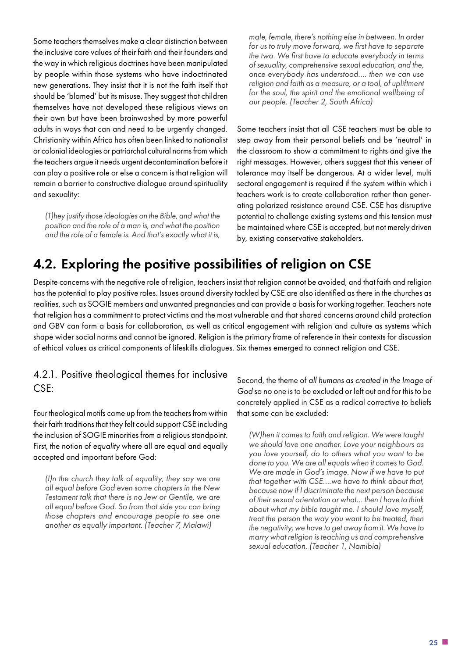Some teachers themselves make a clear distinction between the inclusive core values of their faith and their founders and the way in which religious doctrines have been manipulated by people within those systems who have indoctrinated new generations. They insist that it is not the faith itself that should be 'blamed' but its misuse. They suggest that children themselves have not developed these religious views on their own but have been brainwashed by more powerful adults in ways that can and need to be urgently changed. Christianity within Africa has often been linked to nationalist or colonial ideologies or patriarchal cultural norms from which the teachers argue it needs urgent decontamination before it can play a positive role or else a concern is that religion will remain a barrier to constructive dialogue around spirituality and sexuality:

*(T)hey justify those ideologies on the Bible, and what the position and the role of a man is, and what the position and the role of a female is. And that's exactly what it is,*  *male, female, there's nothing else in between. In order for us to truly move forward, we first have to separate the two. We first have to educate everybody in terms of sexuality, comprehensive sexual education, and the, once everybody has understood…. then we can use religion and faith as a measure, or a tool, of upliftment for the soul, the spirit and the emotional wellbeing of our people. (Teacher 2, South Africa)*

Some teachers insist that all CSE teachers must be able to step away from their personal beliefs and be 'neutral' in the classroom to show a commitment to rights and give the right messages. However, others suggest that this veneer of tolerance may itself be dangerous. At a wider level, multi sectoral engagement is required if the system within which i teachers work is to create collaboration rather than generating polarized resistance around CSE. CSE has disruptive potential to challenge existing systems and this tension must be maintained where CSE is accepted, but not merely driven by, existing conservative stakeholders.

#### 4.2. Exploring the positive possibilities of religion on CSE

Despite concerns with the negative role of religion, teachers insist that religion cannot be avoided, and that faith and religion has the potential to play positive roles. Issues around diversity tackled by CSE are also identified as there in the churches as realities, such as SOGIE members and unwanted pregnancies and can provide a basis for working together. Teachers note that religion has a commitment to protect victims and the most vulnerable and that shared concerns around child protection and GBV can form a basis for collaboration, as well as critical engagement with religion and culture as systems which shape wider social norms and cannot be ignored. Religion is the primary frame of reference in their contexts for discussion of ethical values as critical components of lifeskills dialogues. Six themes emerged to connect religion and CSE.

#### 4.2.1. Positive theological themes for inclusive CSE:

Four theological motifs came up from the teachers from within their faith traditions that they felt could support CSE including the inclusion of SOGIE minorities from a religious standpoint. First, the notion of *equality* where all are equal and equally accepted and important before God:

*(I)n the church they talk of equality, they say we are all equal before God even some chapters in the New Testament talk that there is no Jew or Gentile, we are all equal before God. So from that side you can bring those chapters and encourage people to see one another as equally important. (Teacher 7, Malawi)*

Second, the theme of *all humans as created in the Image of God* so no one is to be excluded or left out and for this to be concretely applied in CSE as a radical corrective to beliefs that some can be excluded:

*(W)hen it comes to faith and religion. We were taught we should love one another. Love your neighbours as you love yourself, do to others what you want to be done to you. We are all equals when it comes to God. We are made in God's image. Now if we have to put that together with CSE….we have to think about that, because now if I discriminate the next person because of their sexual orientation or what… then I have to think about what my bible taught me. I should love myself, treat the person the way you want to be treated, then the negativity, we have to get away from it. We have to marry what religion is teaching us and comprehensive sexual education. (Teacher 1, Namibia)*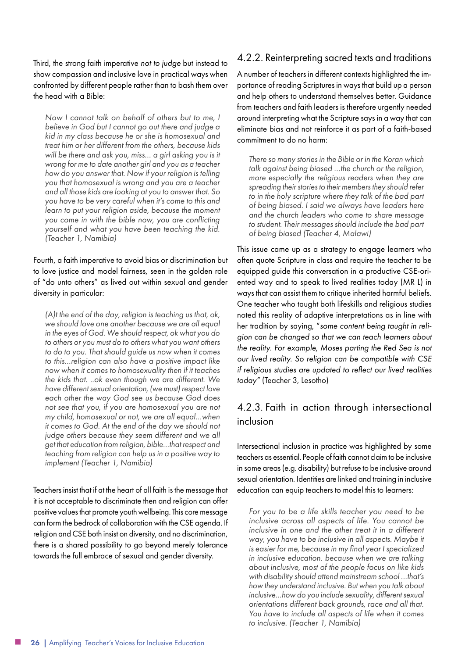Third, the strong faith imperative *not to judge* but instead to show compassion and inclusive love in practical ways when confronted by different people rather than to bash them over the head with a Bible:

*Now I cannot talk on behalf of others but to me, I believe in God but I cannot go out there and judge a kid in my class because he or she is homosexual and treat him or her different from the others, because kids will be there and ask you, miss… a girl asking you is it wrong for me to date another girl and you as a teacher how do you answer that. Now if your religion is telling you that homosexual is wrong and you are a teacher and all those kids are looking at you to answer that. So you have to be very careful when it's come to this and learn to put your religion aside, because the moment you come in with the bible now, you are conflicting yourself and what you have been teaching the kid. (Teacher 1, Namibia)*

Fourth, a faith imperative to avoid bias or discrimination but to love justice and model fairness, seen in the golden role of "do unto others" as lived out within sexual and gender diversity in particular:

*(A)t the end of the day, religion is teaching us that, ok, we should love one another because we are all equal in the eyes of God. We should respect, ok what you do to others or you must do to others what you want others to do to you. That should guide us now when it comes to this…religion can also have a positive impact like now when it comes to homosexuality then if it teaches the kids that. ..ok even though we are different. We have different sexual orientation, (we must) respect love each other the way God see us because God does not see that you, if you are homosexual you are not my child, homosexual or not, we are all equal…when it comes to God. At the end of the day we should not judge others because they seem different and we all get that education from religion, bible…that respect and teaching from religion can help us in a positive way to implement (Teacher 1, Namibia)*

Teachers insist that if at the heart of all faith is the message that it is not acceptable to discriminate then and religion can offer positive values that promote youth wellbeing. This core message can form the bedrock of collaboration with the CSE agenda. If religion and CSE both insist on diversity, and no discrimination, there is a shared possibility to go beyond merely tolerance towards the full embrace of sexual and gender diversity.

#### 4.2.2. Reinterpreting sacred texts and traditions

A number of teachers in different contexts highlighted the importance of reading Scriptures in ways that build up a person and help others to understand themselves better. Guidance from teachers and faith leaders is therefore urgently needed around interpreting what the Scripture says in a way that can eliminate bias and not reinforce it as part of a faith-based commitment to do no harm:

*There so many stories in the Bible or in the Koran which talk against being biased …the church or the religion, more especially the religious readers when they are spreading their stories to their members they should refer to in the holy scripture where they talk of the bad part of being biased. I said we always have leaders here and the church leaders who come to share message to student. Their messages should include the bad part of being biased (Teacher 4, Malawi)*

This issue came up as a strategy to engage learners who often quote Scripture in class and require the teacher to be equipped guide this conversation in a productive CSE-oriented way and to speak to lived realities today (MR L) in ways that can assist them to critique inherited harmful beliefs. One teacher who taught both lifeskills and religious studies noted this reality of adaptive interpretations as in line with her tradition by saying, "*some content being taught in religion can be changed so that we can teach learners about the reality. For example, Moses parting the Red Sea is not our lived reality. So religion can be compatible with CSE if religious studies are updated to reflect our lived realities today"* (Teacher 3, Lesotho)

#### 4.2.3. Faith in action through intersectional inclusion

Intersectional inclusion in practice was highlighted by some teachers as essential. People of faith cannot claim to be inclusive in some areas (e.g. disability) but refuse to be inclusive around sexual orientation. Identities are linked and training in inclusive education can equip teachers to model this to learners:

*For you to be a life skills teacher you need to be inclusive across all aspects of life. You cannot be inclusive in one and the other treat it in a different way, you have to be inclusive in all aspects. Maybe it is easier for me, because in my final year I specialized in inclusive education. because when we are talking about inclusive, most of the people focus on like kids with disability should attend mainstream school …that's how they understand inclusive. But when you talk about inclusive…how do you include sexuality, different sexual orientations different back grounds, race and all that. You have to include all aspects of life when it comes to inclusive. (Teacher 1, Namibia)*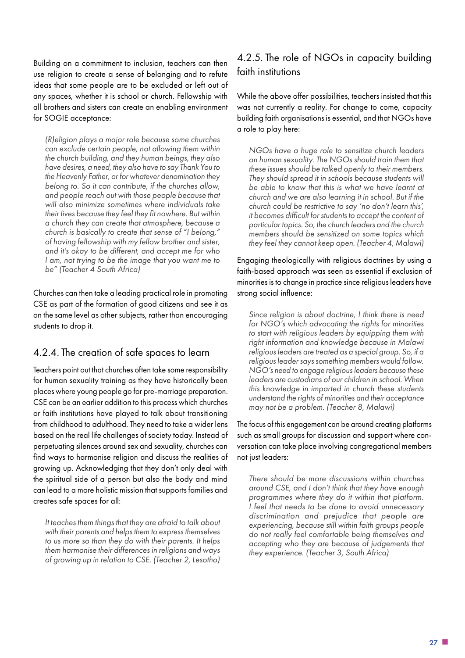Building on a commitment to inclusion, teachers can then use religion to create a sense of belonging and to refute ideas that some people are to be excluded or left out of any spaces, whether it is school or church. Fellowship with all brothers and sisters can create an enabling environment for SOGIE acceptance:

*(R)eligion plays a major role because some churches can exclude certain people, not allowing them within the church building, and they human beings, they also have desires, a need, they also have to say Thank You to the Heavenly Father, or for whatever denomination they belong to. So it can contribute, if the churches allow, and people reach out with those people because that will also minimize sometimes where individuals take their lives because they feel they fit nowhere. But within a church they can create that atmosphere, because a church is basically to create that sense of "I belong," of having fellowship with my fellow brother and sister, and it's okay to be different, and accept me for who I am, not trying to be the image that you want me to be" (Teacher 4 South Africa)*

Churches can then take a leading practical role in promoting CSE as part of the formation of good citizens and see it as on the same level as other subjects, rather than encouraging students to drop it.

#### 4.2.4. The creation of safe spaces to learn

Teachers point out that churches often take some responsibility for human sexuality training as they have historically been places where young people go for pre-marriage preparation. CSE can be an earlier addition to this process which churches or faith institutions have played to talk about transitioning from childhood to adulthood. They need to take a wider lens based on the real life challenges of society today. Instead of perpetuating silences around sex and sexuality, churches can find ways to harmonise religion and discuss the realities of growing up. Acknowledging that they don't only deal with the spiritual side of a person but also the body and mind can lead to a more holistic mission that supports families and creates safe spaces for all:

*It teaches them things that they are afraid to talk about with their parents and helps them to express themselves to us more so than they do with their parents. It helps them harmonise their differences in religions and ways of growing up in relation to CSE. (Teacher 2, Lesotho)*

#### 4.2.5. The role of NGOs in capacity building faith institutions

While the above offer possibilities, teachers insisted that this was not currently a reality. For change to come, capacity building faith organisations is essential, and that NGOs have a role to play here:

*NGOs have a huge role to sensitize church leaders on human sexuality. The NGOs should train them that these issues should be talked openly to their members. They should spread it in schools because students will be able to know that this is what we have learnt at church and we are also learning it in school. But if the church could be restrictive to say 'no don't learn this', it becomes difficult for students to accept the content of particular topics. So, the church leaders and the church members should be sensitized on some topics which they feel they cannot keep open. (Teacher 4, Malawi)*

Engaging theologically with religious doctrines by using a faith-based approach was seen as essential if exclusion of minorities is to change in practice since religious leaders have strong social influence:

*Since religion is about doctrine, I think there is need for NGO's which advocating the rights for minorities to start with religious leaders by equipping them with right information and knowledge because in Malawi religious leaders are treated as a special group. So, if a religious leader says something members would follow. NGO's need to engage religious leaders because these leaders are custodians of our children in school. When this knowledge in imparted in church these students understand the rights of minorities and their acceptance may not be a problem. (Teacher 8, Malawi)*

The focus of this engagement can be around creating platforms such as small groups for discussion and support where conversation can take place involving congregational members not just leaders:

*There should be more discussions within churches around CSE, and I don't think that they have enough programmes where they do it within that platform. I feel that needs to be done to avoid unnecessary discrimination and prejudice that people are experiencing, because still within faith groups people do not really feel comfortable being themselves and accepting who they are because of judgements that they experience. (Teacher 3, South Africa)*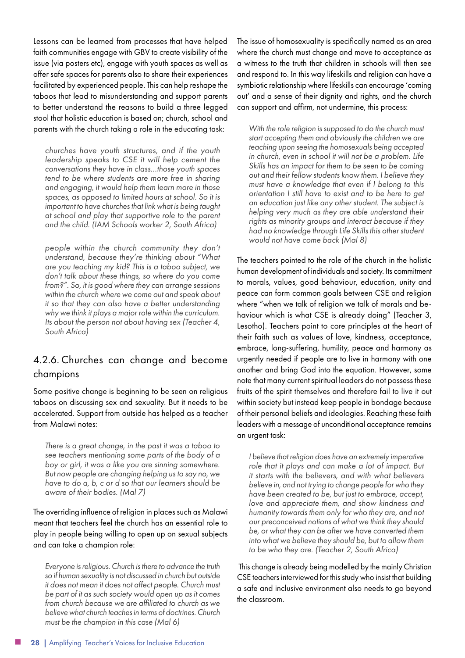Lessons can be learned from processes that have helped faith communities engage with GBV to create visibility of the issue (via posters etc), engage with youth spaces as well as offer safe spaces for parents also to share their experiences facilitated by experienced people. This can help reshape the taboos that lead to misunderstanding and support parents to better understand the reasons to build a three legged stool that holistic education is based on; church, school and parents with the church taking a role in the educating task:

*churches have youth structures, and if the youth leadership speaks to CSE it will help cement the conversations they have in class…those youth spaces tend to be where students are more free in sharing and engaging, it would help them learn more in those spaces, as opposed to limited hours at school. So it is important to have churches that link what is being taught at school and play that supportive role to the parent and the child. (IAM Schools worker 2, South Africa)*

*people within the church community they don't understand, because they're thinking about "What are you teaching my kid? This is a taboo subject, we don't talk about these things, so where do you come from?". So, it is good where they can arrange sessions within the church where we come out and speak about it so that they can also have a better understanding why we think it plays a major role within the curriculum. Its about the person not about having sex (Teacher 4, South Africa)*

#### 4.2.6. Churches can change and become champions

Some positive change is beginning to be seen on religious taboos on discussing sex and sexuality. But it needs to be accelerated. Support from outside has helped as a teacher from Malawi notes:

*There is a great change, in the past it was a taboo to see teachers mentioning some parts of the body of a boy or girl, it was a like you are sinning somewhere. But now people are changing helping us to say no, we have to do a, b, c or d so that our learners should be aware of their bodies. (Mal 7)*

The overriding influence of religion in places such as Malawi meant that teachers feel the church has an essential role to play in people being willing to open up on sexual subjects and can take a champion role:

*Everyone is religious. Church is there to advance the truth so if human sexuality is not discussed in church but outside it does not mean it does not affect people. Church must be part of it as such society would open up as it comes from church because we are affiliated to church as we believe what church teaches in terms of doctrines. Church must be the champion in this case (Mal 6)*

The issue of homosexuality is specifically named as an area where the church must change and move to acceptance as a witness to the truth that children in schools will then see and respond to. In this way lifeskills and religion can have a symbiotic relationship where lifeskills can encourage 'coming out' and a sense of their dignity and rights, and the church can support and affirm, not undermine, this process:

*With the role religion is supposed to do the church must start accepting them and obviously the children we are teaching upon seeing the homosexuals being accepted in church, even in school it will not be a problem. Life Skills has an impact for them to be seen to be coming out and their fellow students know them. I believe they must have a knowledge that even if I belong to this orientation I still have to exist and to be here to get an education just like any other student. The subject is helping very much as they are able understand their rights as minority groups and interact because if they had no knowledge through Life Skills this other student would not have come back (Mal 8)*

The teachers pointed to the role of the church in the holistic human development of individuals and society. Its commitment to morals, values, good behaviour, education, unity and peace can form common goals between CSE and religion where "when we talk of religion we talk of morals and behaviour which is what CSE is already doing" (Teacher 3, Lesotho). Teachers point to core principles at the heart of their faith such as values of love, kindness, acceptance, embrace, long-suffering, humility, peace and harmony as urgently needed if people are to live in harmony with one another and bring God into the equation. However, some note that many current spiritual leaders do not possess these fruits of the spirit themselves and therefore fail to live it out within society but instead keep people in bondage because of their personal beliefs and ideologies. Reaching these faith leaders with a message of unconditional acceptance remains an urgent task:

*I believe that religion does have an extremely imperative role that it plays and can make a lot of impact. But it starts with the believers, and with what believers believe in, and not trying to change people for who they have been created to be, but just to embrace, accept, love and appreciate them, and show kindness and humanity towards them only for who they are, and not our preconceived notions of what we think they should be, or what they can be after we have converted them into what we believe they should be, but to allow them to be who they are. (Teacher 2, South Africa)*

 This change is already being modelled by the mainly Christian CSE teachers interviewed for this study who insist that building a safe and inclusive environment also needs to go beyond the classroom.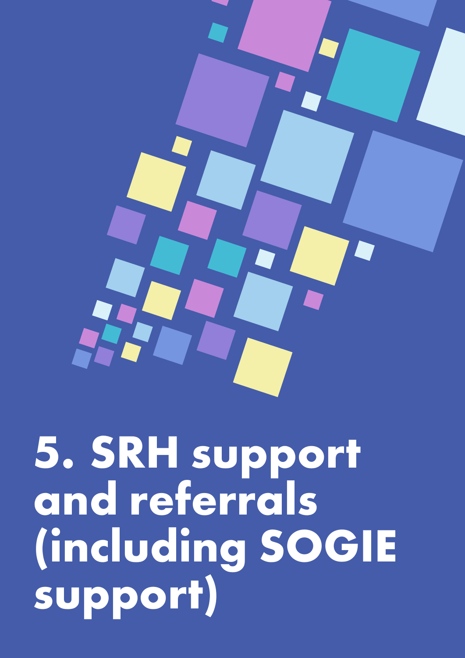

## **5. SRH support and referrals (including SOGIE support)**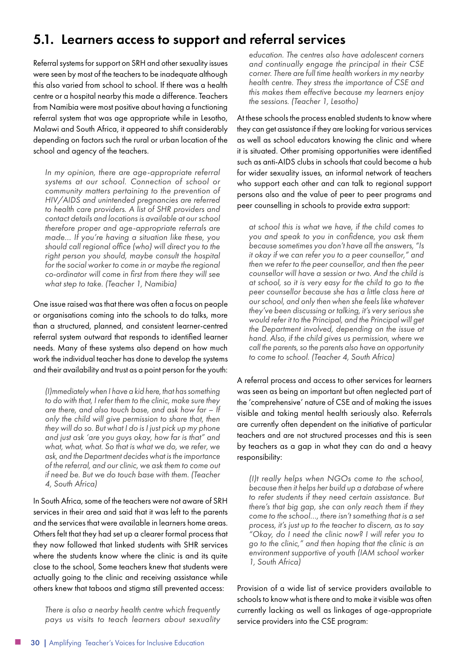#### <span id="page-29-0"></span>5.1. Learners access to support and referral services

Referral systems for support on SRH and other sexuality issues were seen by most of the teachers to be inadequate although this also varied from school to school. If there was a health centre or a hospital nearby this made a difference. Teachers from Namibia were most positive about having a functioning referral system that was age appropriate while in Lesotho, Malawi and South Africa, it appeared to shift considerably depending on factors such the rural or urban location of the school and agency of the teachers.

*In my opinion, there are age-appropriate referral systems at our school. Connection of school or community matters pertaining to the prevention of HIV/AIDS and unintended pregnancies are referred to health care providers. A list of SHR providers and contact details and locations is available at our school therefore proper and age-appropriate referrals are made… If you're having a situation like these, you should call regional office (who) will direct you to the right person you should, maybe consult the hospital for the social worker to come in or maybe the regional co-ordinator will come in first from there they will see what step to take. (Teacher 1, Namibia)*

One issue raised was that there was often a focus on people or organisations coming into the schools to do talks, more than a structured, planned, and consistent learner-centred referral system outward that responds to identified learner needs. Many of these systems also depend on how much work the individual teacher has done to develop the systems and their availability and trust as a point person for the youth:

*(I)mmediately when I have a kid here, that has something to do with that, I refer them to the clinic, make sure they are there, and also touch base, and ask how far – If only the child will give permission to share that, then they will do so. But what I do is I just pick up my phone and just ask 'are you guys okay, how far is that" and what, what, what. So that is what we do, we refer, we ask, and the Department decides what is the importance of the referral, and our clinic, we ask them to come out if need be. But we do touch base with them. (Teacher 4, South Africa)*

In South Africa, some of the teachers were not aware of SRH services in their area and said that it was left to the parents and the services that were available in learners home areas. Others felt that they had set up a clearer formal process that they now followed that linked students with SHR services where the students know where the clinic is and its quite close to the school, Some teachers knew that students were actually going to the clinic and receiving assistance while others knew that taboos and stigma still prevented access:

*There is also a nearby health centre which frequently pays us visits to teach learners about sexuality* 

*education. The centres also have adolescent corners and continually engage the principal in their CSE corner. There are full time health workers in my nearby health centre. They stress the importance of CSE and this makes them effective because my learners enjoy the sessions. (Teacher 1, Lesotho)*

At these schools the process enabled students to know where they can get assistance if they are looking for various services as well as school educators knowing the clinic and where it is situated. Other promising opportunities were identified such as anti-AIDS clubs in schools that could become a hub for wider sexuality issues, an informal network of teachers who support each other and can talk to regional support persons also and the value of peer to peer programs and peer counselling in schools to provide extra support:

*at school this is what we have, if the child comes to you and speak to you in confidence, you ask them because sometimes you don't have all the answers, "Is it okay if we can refer you to a peer counsellor," and then we refer to the peer counsellor, and then the peer counsellor will have a session or two. And the child is at school, so it is very easy for the child to go to the peer counsellor because she has a little class here at our school, and only then when she feels like whatever they've been discussing or talking, it's very serious she would refer it to the Principal, and the Principal will get the Department involved, depending on the issue at hand. Also, if the child gives us permission, where we call the parents, so the parents also have an opportunity to come to school. (Teacher 4, South Africa)*

A referral process and access to other services for learners was seen as being an important but often neglected part of the 'comprehensive' nature of CSE and of making the issues visible and taking mental health seriously also. Referrals are currently often dependent on the initiative of particular teachers and are not structured processes and this is seen by teachers as a gap in what they can do and a heavy responsibility:

*(I)t really helps when NGOs come to the school, because then it helps her build up a database of where to refer students if they need certain assistance. But there's that big gap, she can only reach them if they come to the school…, there isn't something that is a set process, it's just up to the teacher to discern, as to say "Okay, do I need the clinic now? I will refer you to go to the clinic," and then hoping that the clinic is an environment supportive of youth (IAM school worker 1, South Africa)*

Provision of a wide list of service providers available to schools to know what is there and to make it visible was often currently lacking as well as linkages of age-appropriate service providers into the CSE program: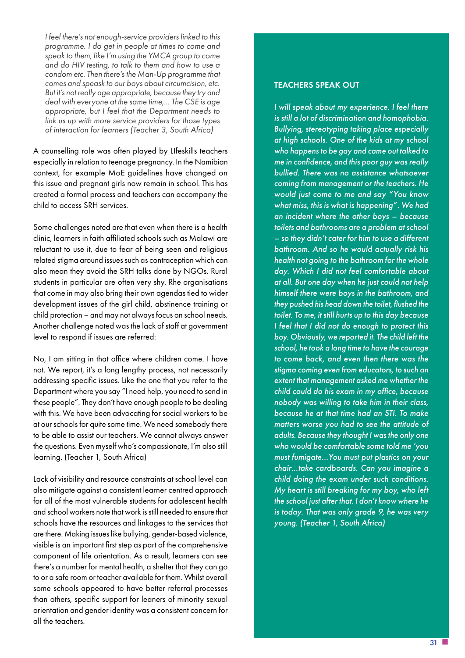*I feel there's not enough-service providers linked to this programme. I do get in people at times to come and speak to them, like I'm using the YMCA group to come and do HIV testing, to talk to them and how to use a condom etc. Then there's the Man-Up programme that comes and speask to our boys about circumcision, etc. But it's not really age appropriate, because they try and deal with everyone at the same time,... The CSE is age appropriate, but I feel that the Department needs to link us up with more service providers for those types of interaction for learners (Teacher 3, South Africa)*

A counselling role was often played by LIfeskills teachers especially in relation to teenage pregnancy. In the Namibian context, for example MoE guidelines have changed on this issue and pregnant girls now remain in school. This has created a formal process and teachers can accompany the child to access SRH services.

Some challenges noted are that even when there is a health clinic, learners in faith affiliated schools such as Malawi are reluctant to use it, due to fear of being seen and religious related stigma around issues such as contraception which can also mean they avoid the SRH talks done by NGOs. Rural students in particular are often very shy. Rhe organisations that come in may also bring their own agendas tied to wider development issues of the girl child, abstinence training or child protection – and may not always focus on school needs. Another challenge noted was the lack of staff at government level to respond if issues are referred:

No, I am sitting in that office where children come. I have not. We report, it's a long lengthy process, not necessarily addressing specific issues. Like the one that you refer to the Department where you say "I need help, you need to send in these people". They don't have enough people to be dealing with this. We have been advocating for social workers to be at our schools for quite some time. We need somebody there to be able to assist our teachers. We cannot always answer the questions. Even myself who's compassionate, I'm also still learning. (Teacher 1, South Africa)

Lack of visibility and resource constraints at school level can also mitigate against a consistent learner centred approach for all of the most vulnerable students for adolescent health and school workers note that work is still needed to ensure that schools have the resources and linkages to the services that are there. Making issues like bullying, gender-based violence, visible is an important first step as part of the comprehensive component of life orientation. As a result, learners can see there's a number for mental health, a shelter that they can go to or a safe room or teacher available for them. Whilst overall some schools appeared to have better referral processes than others, specific support for leaners of minority sexual orientation and gender identity was a consistent concern for all the teachers.

#### TEACHERS SPEAK OUT

*I will speak about my experience. I feel there is still a lot of discrimination and homophobia. Bullying, stereotyping taking place especially at high schools. One of the kids at my school who happens to be gay and came out talked to me in confidence, and this poor guy was really bullied. There was no assistance whatsoever coming from management or the teachers. He would just come to me and say "You know what miss, this is what is happening". We had an incident where the other boys – because toilets and bathrooms are a problem at school – so they didn't cater for him to use a different bathroom. And so he would actually risk his health not going to the bathroom for the whole day. Which I did not feel comfortable about at all. But one day when he just could not help himself there were boys in the bathroom, and they pushed his head down the toilet, flushed the toilet. To me, it still hurts up to this day because I feel that I did not do enough to protect this boy. Obviously, we reported it. The child left the school, he took a long time to have the courage to come back, and even then there was the stigma coming even from educators, to such an extent that management asked me whether the child could do his exam in my office, because nobody was willing to take him in their class, because he at that time had an STI. To make matters worse you had to see the attitude of adults. Because they thought I was the only one who would be comfortable some told me 'you must fumigate…You must put plastics on your chair…take cardboards. Can you imagine a child doing the exam under such conditions. My heart is still breaking for my boy, who left the school just after that. I don't know where he is today. That was only grade 9, he was very young. (Teacher 1, South Africa)*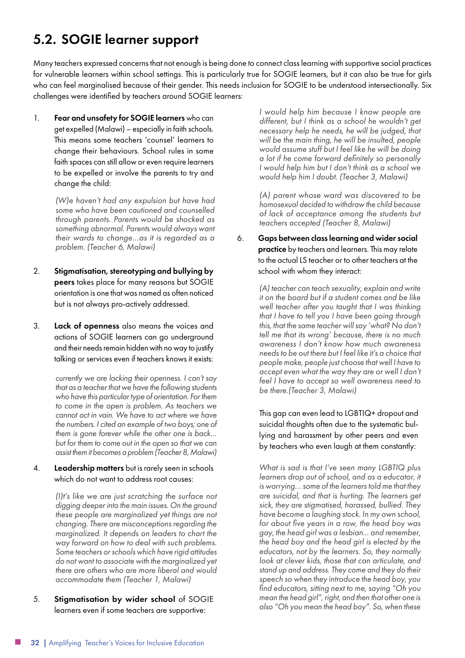#### <span id="page-31-0"></span>5.2. SOGIE learner support

Many teachers expressed concerns that not enough is being done to connect class learning with supportive social practices for vulnerable learners within school settings. This is particularly true for SOGIE learners, but it can also be true for girls who can feel marginalised because of their gender. This needs inclusion for SOGIE to be understood intersectionally. Six challenges were identified by teachers around SOGIE learners:

1. Fear and unsafety for SOGIE learners who can get expelled (Malawi) – especially in faith schools. This means some teachers 'counsel' learners to change their behaviours. School rules in some faith spaces can still allow or even require learners to be expelled or involve the parents to try and change the child:

> *(W)e haven't had any expulsion but have had some who have been cautioned and counselled through parents. Parents would be shocked as something abnormal. Parents would always want their wards to change…as it is regarded as a problem. (Teacher 6, Malawi)*

- 2. Stigmatisation, stereotyping and bullying by peers takes place for many reasons but SOGIE orientation is one that was named as often noticed but is not always pro-actively addressed.
- 3. Lack of openness also means the voices and actions of SOGIE learners can go underground and their needs remain hidden with no way to justify talking or services even if teachers knows it exists:

*currently we are lacking their openness. I can't say that as a teacher that we have the following students who have this particular type of orientation. For them to come in the open is problem. As teachers we cannot act in vain. We have to act where we have the numbers. I cited an example of two boys; one of them is gone forever while the other one is back… but for them to come out in the open so that we can assist them it becomes a problem (Teacher 8, Malawi)*

#### 4. Leadership matters but is rarely seen in schools which do not want to address root causes:

*(I)t's like we are just scratching the surface not digging deeper into the main issues. On the ground these people are marginalized yet things are not changing. There are misconceptions regarding the marginalized. It depends on leaders to chart the way forward on how to deal with such problems. Some teachers or schools which have rigid attitudes do not want to associate with the marginalized yet there are others who are more liberal and would accommodate them (Teacher 1, Malawi)*

5. Stigmatisation by wider school of SOGIE learners even if some teachers are supportive:

*I would help him because I know people are different, but I think as a school he wouldn't get necessary help he needs, he will be judged, that will be the main thing, he will be insulted, people would assume stuff but I feel like he will be doing a lot if he come forward definitely so personally I would help him but I don't think as a school we would help him I doubt. (Teacher 3, Malawi)*

*(A) parent whose ward was discovered to be homosexual decided to withdraw the child because of lack of acceptance among the students but teachers accepted (Teacher 8, Malawi)*

6. Gaps between class learning and wider social practice by teachers and learners. This may relate to the actual LS teacher or to other teachers at the school with whom they interact:

> *(A) teacher can teach sexuality, explain and write it on the board but if a student comes and be like well teacher after you taught that I was thinking that I have to tell you I have been going through this, that the same teacher will say 'what? No don't tell me that its wrong' because, there is no much awareness I don't know how much awareness needs to be out there but I feel like it's a choice that people make, people just choose that well I have to accept even what the way they are or well I don't feel I have to accept so well awareness need to be there.(Teacher 3, Malawi)*

> This gap can even lead to LGBTIQ+ dropout and suicidal thoughts often due to the systematic bullying and harassment by other peers and even by teachers who even laugh at them constantly:

*What is sad is that I've seen many LGBTIQ plus learners drop out of school, and as a educator, it is worrying… some of the learners told me that they are suicidal, and that is hurting. The learners get sick, they are stigmatised, harassed, bullied. They have become a laughing stock. In my own school, for about five years in a row, the head boy was gay, the head girl was a lesbian... and remember, the head boy and the head girl is elected by the educators, not by the learners. So, they normally look at clever kids, those that can articulate, and stand up and address. They come and they do their speech so when they introduce the head boy, you find educators, sitting next to me, saying "Oh you mean the head girl", right, and then that other one is also "Oh you mean the head boy". So, when these*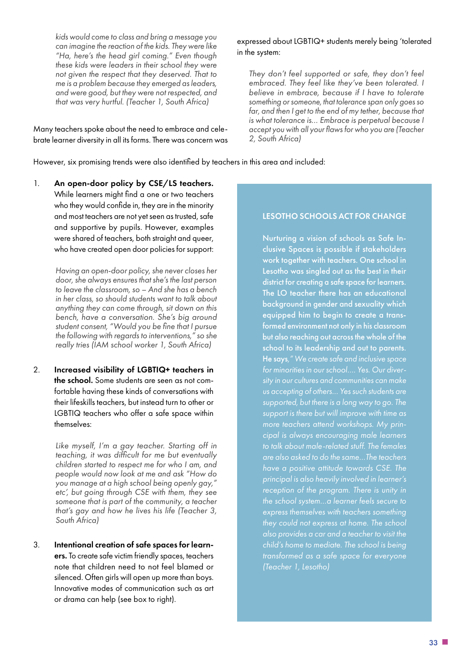*kids would come to class and bring a message you can imagine the reaction of the kids. They were like "Ha, here's the head girl coming." Even though these kids were leaders in their school they were not given the respect that they deserved. That to me is a problem because they emerged as leaders, and were good, but they were not respected, and that was very hurtful. (Teacher 1, South Africa)*

Many teachers spoke about the need to embrace and celebrate learner diversity in all its forms. There was concern was

#### expressed about LGBTIQ+ students merely being 'tolerated in the system:

*They don't feel supported or safe, they don't feel embraced. They feel like they've been tolerated. I believe in embrace, because if I have to tolerate something or someone, that tolerance span only goes so far, and then I get to the end of my tether, because that is what tolerance is… Embrace is perpetual because I accept you with all your flaws for who you are (Teacher 2, South Africa)*

However, six promising trends were also identified by teachers in this area and included:

1. An open-door policy by CSE/LS teachers. While learners might find a one or two teachers who they would confide in, they are in the minority and most teachers are not yet seen as trusted, safe and supportive by pupils. However, examples were shared of teachers, both straight and queer, who have created open door policies for support:

> *Having an open-door policy, she never closes her door, she always ensures that she's the last person to leave the classroom, so – And she has a bench in her class, so should students want to talk about anything they can come through, sit down on this bench, have a conversation. She's big around student consent, "Would you be fine that I pursue the following with regards to interventions," so she really tries (IAM school worker 1, South Africa)*

2. Increased visibility of LGBTIQ+ teachers in the school. Some students are seen as not comfortable having these kinds of conversations with their lifeskills teachers, but instead turn to other or LGBTIQ teachers who offer a safe space within themselves:

> *Like myself, I'm a gay teacher. Starting off in teaching, it was difficult for me but eventually children started to respect me for who I am, and people would now look at me and ask "How do you manage at a high school being openly gay," etc', but going through CSE with them, they see someone that is part of the community, a teacher that's gay and how he lives his life (Teacher 3, South Africa)*

3. Intentional creation of safe spaces for learners. To create safe victim friendly spaces, teachers note that children need to not feel blamed or silenced. Often girls will open up more than boys. Innovative modes of communication such as art or drama can help (see box to right).

#### LESOTHO SCHOOLS ACT FOR CHANGE

Nurturing a vision of schools as Safe Inclusive Spaces is possible if stakeholders work together with teachers. One school in Lesotho was singled out as the best in their district for creating a safe space for learners. The LO teacher there has an educational background in gender and sexuality which equipped him to begin to create a transformed environment not only in his classroom but also reaching out across the whole of the school to its leadership and out to parents. He says*," We create safe and inclusive space us accepting of others… Yes such students are supported, but there is a long way to go. The support is there but will improve with time as more teachers attend workshops. My principal is always encouraging male learners have a positive attitude towards CSE. The reception of the program. There is unity in the school system…a learner feels secure to also provides a car and a teacher to visit the child's home to mediate. The school is being transformed as a safe space for everyone*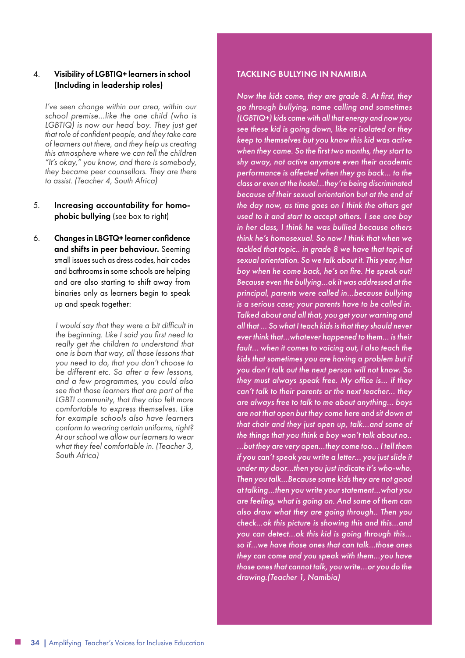#### 4. Visibility of LGBTIQ+ learners in school (Including in leadership roles)

*I've seen change within our area, within our school premise…like the one child (who is LGBTIQ) is now our head boy. They just get that role of confident people, and they take care of learners out there, and they help us creating this atmosphere where we can tell the children "It's okay," you know, and there is somebody, they became peer counsellors. They are there to assist. (Teacher 4, South Africa)*

#### 5. Increasing accountability for homophobic bullying (see box to right)

6. Changes in LBGTQ+ learner confidence and shifts in peer behaviour. Seeming small issues such as dress codes, hair codes and bathrooms in some schools are helping and are also starting to shift away from binaries only as learners begin to speak up and speak together:

> *I would say that they were a bit difficult in the beginning. Like I said you first need to really get the children to understand that one is born that way, all those lessons that you need to do, that you don't choose to be different etc. So after a few lessons, and a few programmes, you could also see that those learners that are part of the LGBTI community, that they also felt more comfortable to express themselves. Like for example schools also have learners conform to wearing certain uniforms, right? At our school we allow our learners to wear what they feel comfortable in. (Teacher 3, South Africa)*

#### TACKLING BULLYING IN NAMIBIA

*Now the kids come, they are grade 8. At first, they go through bullying, name calling and sometimes (LGBTIQ+) kids come with all that energy and now you see these kid is going down, like or isolated or they keep to themselves but you know this kid was active when they came. So the first two months, they start to shy away, not active anymore even their academic performance is affected when they go back… to the class or even at the hostel…they're being discriminated because of their sexual orientation but at the end of the day now, as time goes on I think the others get used to it and start to accept others. I see one boy in her class, I think he was bullied because others think he's homosexual. So now I think that when we tackled that topic.. in grade 8 we have that topic of sexual orientation. So we talk about it. This year, that boy when he come back, he's on fire. He speak out! Because even the bullying…ok it was addressed at the principal, parents were called in…because bullying is a serious case; your parents have to be called in. Talked about and all that, you get your warning and all that … So what I teach kids is that they should never ever think that…whatever happened to them… is their fault… when it comes to voicing out, I also teach the kids that sometimes you are having a problem but if you don't talk out the next person will not know. So they must always speak free. My office is… if they can't talk to their parents or the next teacher… they are always free to talk to me about anything… boys are not that open but they come here and sit down at that chair and they just open up, talk…and some of the things that you think a boy won't talk about no.. …but they are very open…they come too… I tell them if you can't speak you write a letter... you just slide it under my door…then you just indicate it's who-who. Then you talk…Because some kids they are not good at talking…then you write your statement…what you are feeling, what is going on. And some of them can also draw what they are going through.. Then you check…ok this picture is showing this and this…and you can detect…ok this kid is going through this… so if…we have those ones that can talk…those ones they can come and you speak with them…you have those ones that cannot talk, you write…or you do the drawing.(Teacher 1, Namibia)*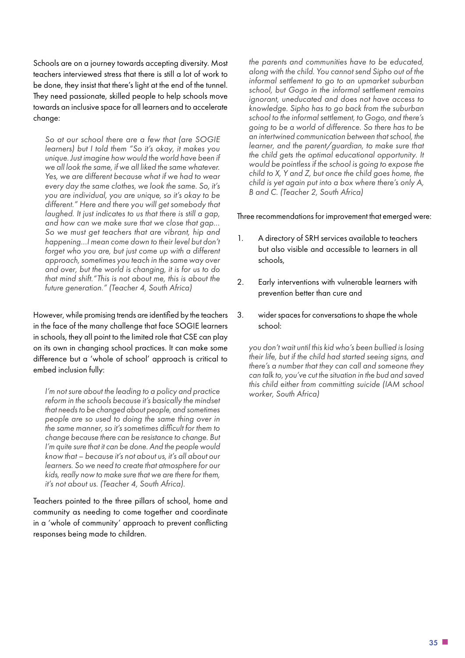<span id="page-34-0"></span>Schools are on a journey towards accepting diversity. Most teachers interviewed stress that there is still a lot of work to be done, they insist that there's light at the end of the tunnel. They need passionate, skilled people to help schools move towards an inclusive space for all learners and to accelerate change:

*So at our school there are a few that (are SOGIE learners) but I told them "So it's okay, it makes you unique. Just imagine how would the world have been if we all look the same, if we all liked the same whatever. Yes, we are different because what if we had to wear every day the same clothes, we look the same. So, it's you are individual, you are unique, so it's okay to be different." Here and there you will get somebody that laughed. It just indicates to us that there is still a gap, and how can we make sure that we close that gap… So we must get teachers that are vibrant, hip and happening…I mean come down to their level but don't forget who you are, but just come up with a different approach, sometimes you teach in the same way over and over, but the world is changing, it is for us to do that mind shift."This is not about me, this is about the future generation." (Teacher 4, South Africa)*

However, while promising trends are identified by the teachers in the face of the many challenge that face SOGIE learners in schools, they all point to the limited role that CSE can play on its own in changing school practices. It can make some difference but a 'whole of school' approach is critical to embed inclusion fully:

*I'm not sure about the leading to a policy and practice reform in the schools because it's basically the mindset that needs to be changed about people, and sometimes people are so used to doing the same thing over in the same manner, so it's sometimes difficult for them to change because there can be resistance to change. But I'm quite sure that it can be done. And the people would know that – because it's not about us, it's all about our learners. So we need to create that atmosphere for our kids, really now to make sure that we are there for them, it's not about us. (Teacher 4, South Africa).*

Teachers pointed to the three pillars of school, home and community as needing to come together and coordinate in a 'whole of community' approach to prevent conflicting responses being made to children.

*the parents and communities have to be educated, along with the child. You cannot send Sipho out of the informal settlement to go to an upmarket suburban school, but Gogo in the informal settlement remains ignorant, uneducated and does not have access to knowledge. Sipho has to go back from the suburban school to the informal settlement, to Gogo, and there's going to be a world of difference. So there has to be an intertwined communication between that school, the learner, and the parent/guardian, to make sure that the child gets the optimal educational opportunity. It would be pointless if the school is going to expose the child to X, Y and Z, but once the child goes home, the child is yet again put into a box where there's only A, B and C. (Teacher 2, South Africa)*

Three recommendations for improvement that emerged were:

- 1. A directory of SRH services available to teachers but also visible and accessible to learners in all schools,
- 2. Early interventions with vulnerable learners with prevention better than cure and
- 3. wider spaces for conversations to shape the whole school:

*you don't wait until this kid who's been bullied is losing their life, but if the child had started seeing signs, and there's a number that they can call and someone they can talk to, you've cut the situation in the bud and saved this child either from committing suicide (IAM school worker, South Africa)*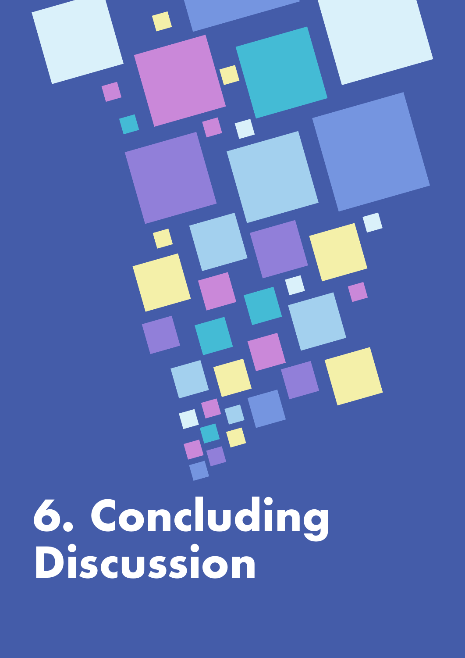**6. Concluding Discussion**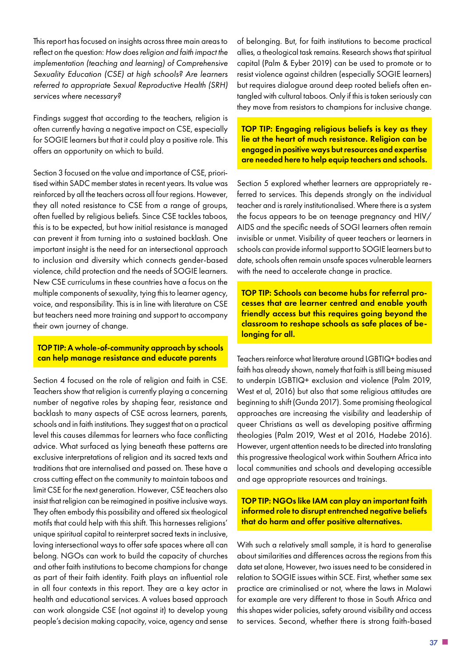<span id="page-36-0"></span>This report has focused on insights across three main areas to reflect on the question: *How does religion and faith impact the implementation (teaching and learning) of Comprehensive Sexuality Education (CSE) at high schools? Are learners referred to appropriate Sexual Reproductive Health (SRH) services where necessary?*

Findings suggest that according to the teachers, religion is often currently having a negative impact on CSE, especially for SOGIE learners but that it could play a positive role. This offers an opportunity on which to build.

Section 3 focused on the value and importance of CSE, prioritised within SADC member states in recent years. Its value was reinforced by all the teachers across all four regions. However, they all noted resistance to CSE from a range of groups, often fuelled by religious beliefs. Since CSE tackles taboos, this is to be expected, but how initial resistance is managed can prevent it from turning into a sustained backlash. One important insight is the need for an intersectional approach to inclusion and diversity which connects gender-based violence, child protection and the needs of SOGIE learners. New CSE curriculums in these countries have a focus on the multiple components of sexuality, tying this to learner agency, voice, and responsibility. This is in line with literature on CSE but teachers need more training and support to accompany their own journey of change.

#### TOP TIP: A whole-of-community approach by schools can help manage resistance and educate parents

Section 4 focused on the role of religion and faith in CSE. Teachers show that religion is currently playing a concerning number of negative roles by shaping fear, resistance and backlash to many aspects of CSE across learners, parents, schools and in faith institutions. They suggest that on a practical level this causes dilemmas for learners who face conflicting advice. What surfaced as lying beneath these patterns are exclusive interpretations of religion and its sacred texts and traditions that are internalised and passed on. These have a cross cutting effect on the community to maintain taboos and limit CSE for the next generation. However, CSE teachers also insist that religion can be reimagined in positive inclusive ways. They often embody this possibility and offered six theological motifs that could help with this shift. This harnesses religions' unique spiritual capital to reinterpret sacred texts in inclusive, loving intersectional ways to offer safe spaces where all can belong. NGOs can work to build the capacity of churches and other faith institutions to become champions for change as part of their faith identity. Faith plays an influential role in all four contexts in this report. They are a key actor in health and educational services. A values based approach can work alongside CSE (not against it) to develop young people's decision making capacity, voice, agency and sense

of belonging. But, for faith institutions to become practical allies, a theological task remains. Research shows that spiritual capital (Palm & Eyber 2019) can be used to promote or to resist violence against children (especially SOGIE learners) but requires dialogue around deep rooted beliefs often entangled with cultural taboos. Only if this is taken seriously can they move from resistors to champions for inclusive change.

TOP TIP: Engaging religious beliefs is key as they lie at the heart of much resistance. Religion can be engaged in positive ways but resources and expertise are needed here to help equip teachers and schools.

Section 5 explored whether learners are appropriately referred to services. This depends strongly on the individual teacher and is rarely institutionalised. Where there is a system the focus appears to be on teenage pregnancy and HIV/ AIDS and the specific needs of SOGI learners often remain invisible or unmet. Visibility of queer teachers or learners in schools can provide informal support to SOGIE learners but to date, schools often remain unsafe spaces vulnerable learners with the need to accelerate change in practice.

TOP TIP: Schools can become hubs for referral processes that are learner centred and enable youth friendly access but this requires going beyond the classroom to reshape schools as safe places of belonging for all.

Teachers reinforce what literature around LGBTIQ+ bodies and faith has already shown, namely that faith is still being misused to underpin LGBTIQ+ exclusion and violence (Palm 2019, West et al, 2016) but also that some religious attitudes are beginning to shift (Gunda 2017). Some promising theological approaches are increasing the visibility and leadership of queer Christians as well as developing positive affirming theologies (Palm 2019, West et al 2016, Hadebe 2016). However, urgent attention needs to be directed into translating this progressive theological work within Southern Africa into local communities and schools and developing accessible and age appropriate resources and trainings.

TOP TIP: NGOs like IAM can play an important faith informed role to disrupt entrenched negative beliefs that do harm and offer positive alternatives.

With such a relatively small sample, it is hard to generalise about similarities and differences across the regions from this data set alone, However, two issues need to be considered in relation to SOGIE issues within SCE. First, whether same sex practice are criminalised or not, where the laws in Malawi for example are very different to those in South Africa and this shapes wider policies, safety around visibility and access to services. Second, whether there is strong faith-based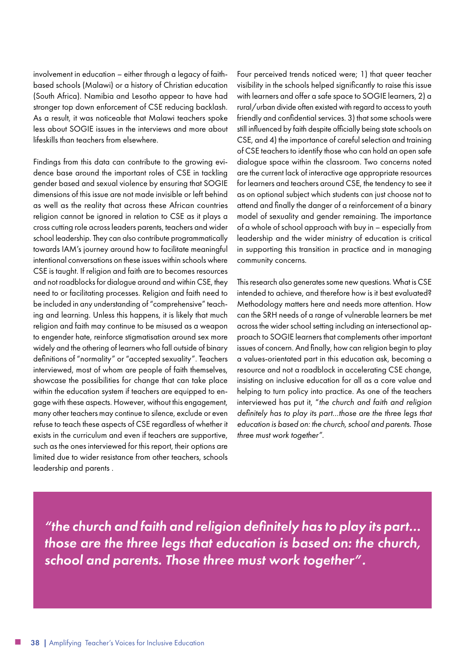<span id="page-37-0"></span>involvement in education – either through a legacy of faithbased schools (Malawi) or a history of Christian education (South Africa). Namibia and Lesotho appear to have had stronger top down enforcement of CSE reducing backlash. As a result, it was noticeable that Malawi teachers spoke less about SOGIE issues in the interviews and more about lifeskills than teachers from elsewhere.

Findings from this data can contribute to the growing evidence base around the important roles of CSE in tackling gender based and sexual violence by ensuring that SOGIE dimensions of this issue are not made invisible or left behind as well as the reality that across these African countries religion cannot be ignored in relation to CSE as it plays a cross cutting role across leaders parents, teachers and wider school leadership. They can also contribute programmatically towards IAM's journey around how to facilitate meaningful intentional conversations on these issues within schools where CSE is taught. If religion and faith are to becomes resources and not roadblocks for dialogue around and within CSE, they need to or facilitating processes. Religion and faith need to be included in any understanding of "comprehensive" teaching and learning. Unless this happens, it is likely that much religion and faith may continue to be misused as a weapon to engender hate, reinforce stigmatisation around sex more widely and the othering of learners who fall outside of binary definitions of "normality" or "accepted sexuality". Teachers interviewed, most of whom are people of faith themselves, showcase the possibilities for change that can take place within the education system if teachers are equipped to engage with these aspects. However, without this engagement, many other teachers may continue to silence, exclude or even refuse to teach these aspects of CSE regardless of whether it exists in the curriculum and even if teachers are supportive, such as the ones interviewed for this report, their options are limited due to wider resistance from other teachers, schools leadership and parents .

Four perceived trends noticed were; 1) that queer teacher visibility in the schools helped significantly to raise this issue with learners and offer a safe space to SOGIE learners, 2) a rural/urban divide often existed with regard to access to youth friendly and confidential services. 3) that some schools were still influenced by faith despite officially being state schools on CSE, and 4) the importance of careful selection and training of CSE teachers to identify those who can hold an open safe dialogue space within the classroom. Two concerns noted are the current lack of interactive age appropriate resources for learners and teachers around CSE, the tendency to see it as on optional subject which students can just choose not to attend and finally the danger of a reinforcement of a binary model of sexuality and gender remaining. The importance of a whole of school approach with buy in – especially from leadership and the wider ministry of education is critical in supporting this transition in practice and in managing community concerns.

This research also generates some new questions. What is CSE intended to achieve, and therefore how is it best evaluated? Methodology matters here and needs more attention. How can the SRH needs of a range of vulnerable learners be met across the wider school setting including an intersectional approach to SOGIE learners that complements other important issues of concern. And finally, how can religion begin to play a values-orientated part in this education ask, becoming a resource and not a roadblock in accelerating CSE change, insisting on inclusive education for all as a core value and helping to turn policy into practice. As one of the teachers interviewed has put it, "*the church and faith and religion definitely has to play its part…those are the three legs that education is based on: the church, school and parents. Those three must work together".*

*"the church and faith and religion definitely has to play its part… those are the three legs that education is based on: the church, school and parents. Those three must work together".*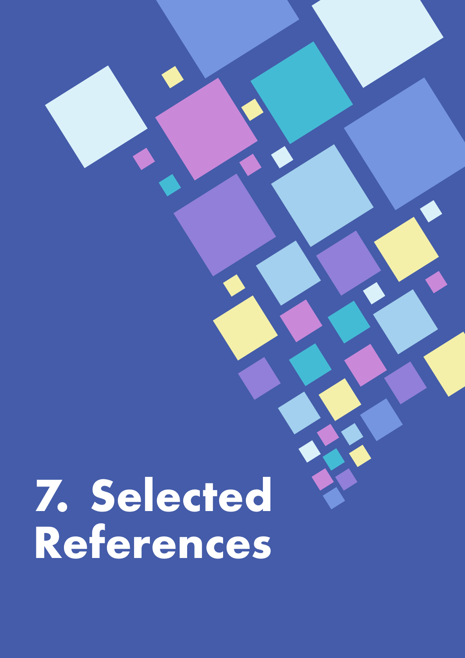# **7. Selected<br>References**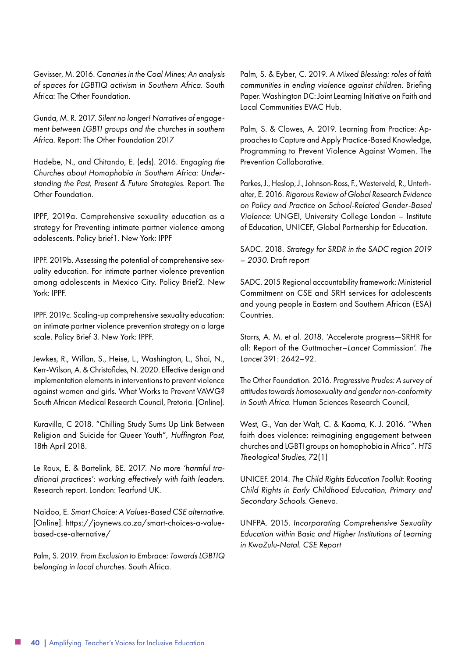Gevisser, M. 2016. *Canaries in the Coal Mines; An analysis of spaces for LGBTIQ activism in Southern Africa.* South Africa: The Other Foundation.

Gunda, M. R. 2017. *Silent no longer! Narratives of engagement between LGBTI groups and the churches in southern Africa*. Report: The Other Foundation 2017

Hadebe, N., and Chitando, E. (eds). 2016. *Engaging the Churches about Homophobia in Southern Africa: Understanding the Past, Present & Future Strategies*. Report. The Other Foundation.

IPPF, 2019a. Comprehensive sexuality education as a strategy for Preventing intimate partner violence among adolescents. Policy brief1. New York: IPPF

IPPF. 2019b. Assessing the potential of comprehensive sexuality education. For intimate partner violence prevention among adolescents in Mexico City. Policy Brief2. New York: IPPF.

IPPF. 2019c. Scaling-up comprehensive sexuality education: an intimate partner violence prevention strategy on a large scale. Policy Brief 3. New York: IPPF.

Jewkes, R., Willan, S., Heise, L., Washington, L., Shai, N., Kerr-Wilson, A. & Christofides, N. 2020. Effective design and implementation elements in interventions to prevent violence against women and girls. What Works to Prevent VAWG? South African Medical Research Council, Pretoria. [Online].

Kuravilla, C 2018. "Chilling Study Sums Up Link Between Religion and Suicide for Queer Youth", *Huffington Post*, 18th April 2018.

Le Roux, E. & Bartelink, BE. 2017. *No more 'harmful traditional practices': working effectively with faith leaders.* Research report. London: Tearfund UK.

Naidoo, E. *Smart Choice: A Values-Based CSE alternative.* [Online]. https://joynews.co.za/smart-choices-a-valuebased-cse-alternative/

Palm, S. 2019. *From Exclusion to Embrace: Towards LGBTIQ belonging in local churches.* South Africa.

Palm, S. & Eyber, C. 2019. *A Mixed Blessing: roles of faith communities in ending violence against children*. Briefing Paper. Washington DC: Joint Learning Initiative on Faith and Local Communities EVAC Hub.

Palm, S. & Clowes, A. 2019. [Learning from Practice: Ap](https://www.researchgate.net/publication/336702814_Learning_from_Practice_Approaches_to_Capture_and_Apply_Practice-Based_Knowledge_PRACTICE_BRIEF_Programming_to_Prevent_Violence_Against_Women?_sg=J_wXNz-Sp_MdUW-nDqNHi4uVnFGkvms0iHgaqcRxRgirS-JMbOb0i-6euxOEbVLUTuV8ATxwifwGMqjX7U_CgfiqQCMB95Oe_7gKa76f.XWEKAIQadpDhMsm4NU8YUoXIG4rj53lKcnhEGhFXzU3Iqgg_9NlCzRERc0SoMaPsOwD6G1OD7J52TV4GU79CMw)[proaches to Capture and Apply Practice-Based Knowledge,](https://www.researchgate.net/publication/336702814_Learning_from_Practice_Approaches_to_Capture_and_Apply_Practice-Based_Knowledge_PRACTICE_BRIEF_Programming_to_Prevent_Violence_Against_Women?_sg=J_wXNz-Sp_MdUW-nDqNHi4uVnFGkvms0iHgaqcRxRgirS-JMbOb0i-6euxOEbVLUTuV8ATxwifwGMqjX7U_CgfiqQCMB95Oe_7gKa76f.XWEKAIQadpDhMsm4NU8YUoXIG4rj53lKcnhEGhFXzU3Iqgg_9NlCzRERc0SoMaPsOwD6G1OD7J52TV4GU79CMw)  [Programming to Prevent Violence Against Women](https://www.researchgate.net/publication/336702814_Learning_from_Practice_Approaches_to_Capture_and_Apply_Practice-Based_Knowledge_PRACTICE_BRIEF_Programming_to_Prevent_Violence_Against_Women?_sg=J_wXNz-Sp_MdUW-nDqNHi4uVnFGkvms0iHgaqcRxRgirS-JMbOb0i-6euxOEbVLUTuV8ATxwifwGMqjX7U_CgfiqQCMB95Oe_7gKa76f.XWEKAIQadpDhMsm4NU8YUoXIG4rj53lKcnhEGhFXzU3Iqgg_9NlCzRERc0SoMaPsOwD6G1OD7J52TV4GU79CMw)*.* The Prevention Collaborative.

Parkes, J., Heslop, J., Johnson-Ross, F., Westerveld, R., Unterhalter, E. 2016. *Rigorous Review of Global Research Evidence on Policy and Practice on School-Related Gender-Based Violence*: UNGEI, University College London – Institute of Education, UNICEF, Global Partnership for Education.

SADC. 2018. *Strategy for SRDR in the SADC region 2019 – 2030.* Draft report

SADC. 2015 Regional accountability framework: Ministerial Commitment on CSE and SRH services for adolescents and young people in Eastern and Southern African (ESA) Countries.

Starrs, A. M. et al. *2018. '*Accelerate progress—SRHR for all: Report of the Guttmacher–*Lancet* Commission'. *The Lancet* 391: 2642–92.

The Other Foundation. 2016. *Progressive Prudes: A survey of attitudes towards homosexuality and gender non-conformity in South Africa*. Human Sciences Research Council,

West, G., Van der Walt, C. & Kaoma, K. J. 2016. "When faith does violence: reimagining engagement between churches and LGBTI groups on homophobia in Africa". *HTS Theological Studies,* 72(1)

UNICEF. 2014. *The Child Rights Education Toolkit*: *Rooting Child Rights in Early Childhood Education, Primary and Secondary Schools*. Geneva.

UNFPA. 2015. *Incorporating Comprehensive Sexuality Education within Basic and Higher Institutions of Learning in KwaZulu-Natal. CSE Report*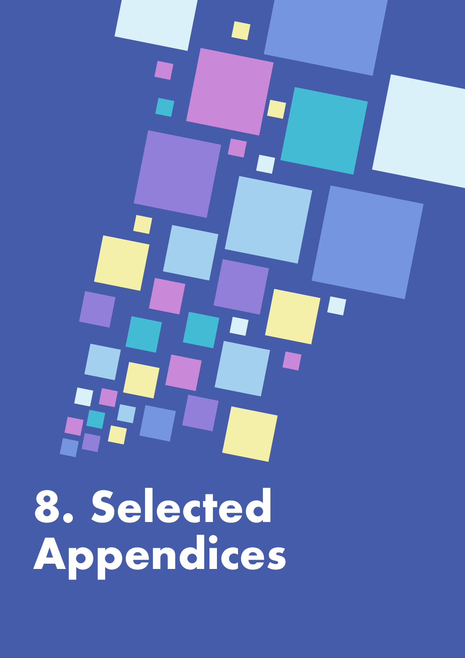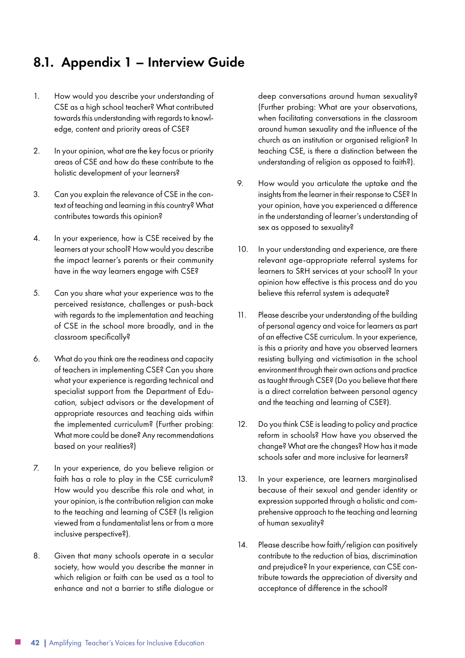#### <span id="page-41-0"></span>8.1. Appendix 1 – Interview Guide

- 1. How would you describe your understanding of CSE as a high school teacher? What contributed towards this understanding with regards to knowledge, content and priority areas of CSE?
- 2. In your opinion, what are the key focus or priority areas of CSE and how do these contribute to the holistic development of your learners?
- 3. Can you explain the relevance of CSE in the context of teaching and learning in this country? What contributes towards this opinion?
- 4. In your experience, how is CSE received by the learners at your school? How would you describe the impact learner's parents or their community have in the way learners engage with CSE?
- 5. Can you share what your experience was to the perceived resistance, challenges or push-back with regards to the implementation and teaching of CSE in the school more broadly, and in the classroom specifically?
- 6. What do you think are the readiness and capacity of teachers in implementing CSE? Can you share what your experience is regarding technical and specialist support from the Department of Education, subject advisors or the development of appropriate resources and teaching aids within the implemented curriculum? (Further probing: What more could be done? Any recommendations based on your realities?)
- 7. In your experience, do you believe religion or faith has a role to play in the CSE curriculum? How would you describe this role and what, in your opinion, is the contribution religion can make to the teaching and learning of CSE? (Is religion viewed from a fundamentalist lens or from a more inclusive perspective?).
- 8. Given that many schools operate in a secular society, how would you describe the manner in which religion or faith can be used as a tool to enhance and not a barrier to stifle dialogue or

deep conversations around human sexuality? (Further probing: What are your observations, when facilitating conversations in the classroom around human sexuality and the influence of the church as an institution or organised religion? In teaching CSE, is there a distinction between the understanding of religion as opposed to faith?).

- 9. How would you articulate the uptake and the insights from the learner in their response to CSE? In your opinion, have you experienced a difference in the understanding of learner's understanding of sex as opposed to sexuality?
- 10. In your understanding and experience, are there relevant age-appropriate referral systems for learners to SRH services at your school? In your opinion how effective is this process and do you believe this referral system is adequate?
- 11. Please describe your understanding of the building of personal agency and voice for learners as part of an effective CSE curriculum. In your experience, is this a priority and have you observed learners resisting bullying and victimisation in the school environment through their own actions and practice as taught through CSE? (Do you believe that there is a direct correlation between personal agency and the teaching and learning of CSE?).
- 12. Do you think CSE is leading to policy and practice reform in schools? How have you observed the change? What are the changes? How has it made schools safer and more inclusive for learners?
- 13. In your experience, are learners marginalised because of their sexual and gender identity or expression supported through a holistic and comprehensive approach to the teaching and learning of human sexuality?
- 14. Please describe how faith/religion can positively contribute to the reduction of bias, discrimination and prejudice? In your experience, can CSE contribute towards the appreciation of diversity and acceptance of difference in the school?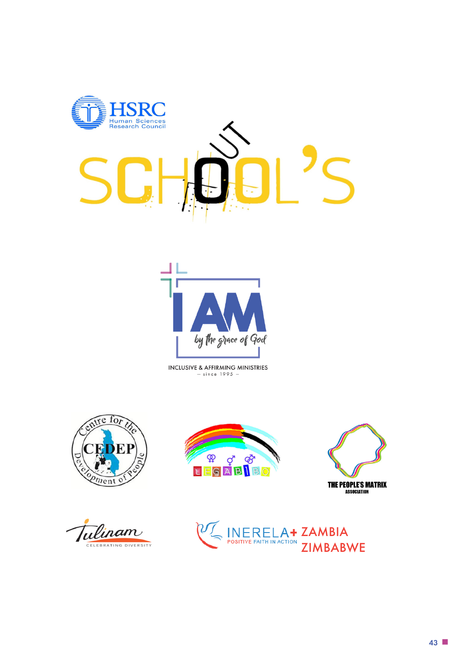



INCLUSIVE & AFFIRMING MINISTRIES<br>- since 1995 -



ulinam CELEBRATING DIVERSITY